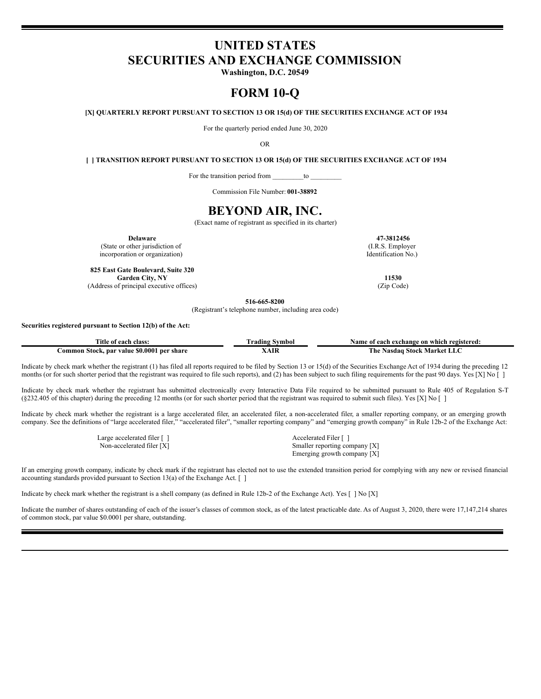# **UNITED STATES SECURITIES AND EXCHANGE COMMISSION**

**Washington, D.C. 20549**

# **FORM 10-Q**

**[X] QUARTERLY REPORT PURSUANT TO SECTION 13 OR 15(d) OF THE SECURITIES EXCHANGE ACT OF 1934**

For the quarterly period ended June 30, 2020

OR

**[ ] TRANSITION REPORT PURSUANT TO SECTION 13 OR 15(d) OF THE SECURITIES EXCHANGE ACT OF 1934**

For the transition period from \_\_\_\_\_\_\_\_\_to \_\_\_\_\_\_\_\_\_

Commission File Number: **001-38892**

# **BEYOND AIR, INC.**

(Exact name of registrant as specified in its charter)

**Delaware 47-3812456** (State or other jurisdiction of incorporation or organization)

**825 East Gate Boulevard, Suite 320 Garden City, NY 11530** (Address of principal executive offices) (Zip Code)

(I.R.S. Employer Identification No.)

**516-665-8200**

(Registrant's telephone number, including area code)

## **Securities registered pursuant to Section 12(b) of the Act:**

| class:<br>. îtle<br>ot each                                            | ™mbol<br>, adıng | vame<br>registered:<br>.e on which<br>ı exchange<br>each<br>-01 |
|------------------------------------------------------------------------|------------------|-----------------------------------------------------------------|
| \$0.0001<br>share<br><b>∶ommon</b><br>√alue<br>-Stock.<br>ner<br>. par | . TT<br>AU       | `h€<br>Stock<br>Market<br>Nasdaɑ                                |

Indicate by check mark whether the registrant (1) has filed all reports required to be filed by Section 13 or 15(d) of the Securities Exchange Act of 1934 during the preceding 12 months (or for such shorter period that the registrant was required to file such reports), and (2) has been subject to such filing requirements for the past 90 days. Yes [X] No []

Indicate by check mark whether the registrant has submitted electronically every Interactive Data File required to be submitted pursuant to Rule 405 of Regulation S-T (§232.405 of this chapter) during the preceding 12 months (or for such shorter period that the registrant was required to submit such files). Yes [X] No [ ]

Indicate by check mark whether the registrant is a large accelerated filer, an accelerated filer, a non-accelerated filer, a smaller reporting company, or an emerging growth company. See the definitions of "large accelerated filer," "accelerated filer", "smaller reporting company" and "emerging growth company" in Rule 12b-2 of the Exchange Act:

Large accelerated filer [ ] Accelerated Filer [ ]

Non-accelerated filer [X] Smaller reporting company [X] Emerging growth company [X]

If an emerging growth company, indicate by check mark if the registrant has elected not to use the extended transition period for complying with any new or revised financial accounting standards provided pursuant to Section 13(a) of the Exchange Act. [ ]

Indicate by check mark whether the registrant is a shell company (as defined in Rule 12b-2 of the Exchange Act). Yes [ ] No [X]

Indicate the number of shares outstanding of each of the issuer's classes of common stock, as of the latest practicable date. As of August 3, 2020, there were 17,147,214 shares of common stock, par value \$0.0001 per share, outstanding.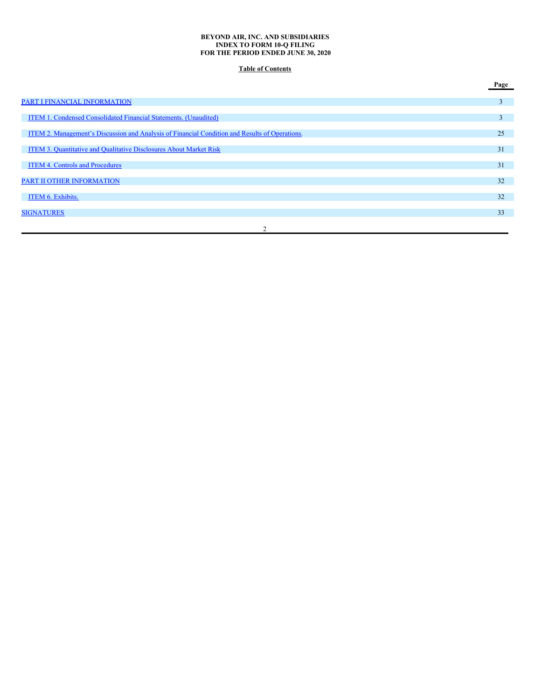## **BEYOND AIR, INC. AND SUBSIDIARIES INDEX TO FORM 10-Q FILING FOR THE PERIOD ENDED JUNE 30, 2020**

# **Table of Contents**

|                                                                                                | Page |
|------------------------------------------------------------------------------------------------|------|
| PART I FINANCIAL INFORMATION                                                                   | 3    |
| ITEM 1. Condensed Consolidated Financial Statements. (Unaudited)                               | 3    |
| ITEM 2. Management's Discussion and Analysis of Financial Condition and Results of Operations. | 25   |
| ITEM 3. Quantitative and Qualitative Disclosures About Market Risk                             | 31   |
| <b>ITEM 4. Controls and Procedures</b>                                                         | 31   |
| PART II OTHER INFORMATION                                                                      | 32   |
| ITEM 6. Exhibits.                                                                              | 32   |
| <b>SIGNATURES</b>                                                                              | 33   |
|                                                                                                |      |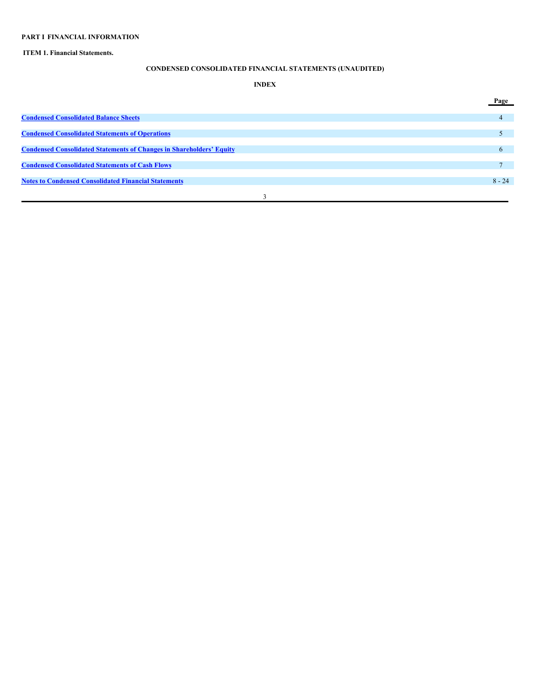# <span id="page-2-0"></span>**PART I FINANCIAL INFORMATION**

## <span id="page-2-1"></span>**ITEM 1. Financial Statements.**

# **CONDENSED CONSOLIDATED FINANCIAL STATEMENTS (UNAUDITED)**

# **INDEX**

|                                                                             | Page         |
|-----------------------------------------------------------------------------|--------------|
| <b>Condensed Consolidated Balance Sheets</b>                                |              |
|                                                                             |              |
| <b>Condensed Consolidated Statements of Operations</b>                      |              |
| <b>Condensed Consolidated Statements of Changes in Shareholders' Equity</b> |              |
|                                                                             | <sub>n</sub> |
| <b>Condensed Consolidated Statements of Cash Flows</b>                      |              |
| <b>Notes to Condensed Consolidated Financial Statements</b>                 | $8 - 24$     |
|                                                                             |              |
|                                                                             |              |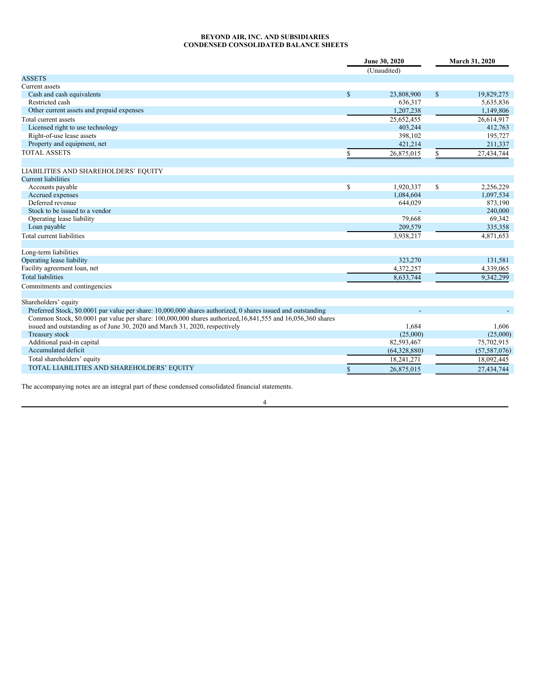## <span id="page-3-0"></span>**BEYOND AIR, INC. AND SUBSIDIARIES CONDENSED CONSOLIDATED BALANCE SHEETS**

| (Unaudited)<br><b>ASSETS</b><br>Current assets<br>$\mathbf S$<br>$\mathbf S$<br>Cash and cash equivalents<br>23,808,900<br>19,829,275<br>Restricted cash<br>636,317<br>5,635,836<br>Other current assets and prepaid expenses<br>1,207,238<br>25,652,455<br>Total current assets<br>Licensed right to use technology<br>403.244<br>Right-of-use lease assets<br>398,102<br>Property and equipment, net<br>421,214<br><b>TOTAL ASSETS</b><br>26,875,015<br>\$<br>S<br>LIABILITIES AND SHAREHOLDERS' EQUITY<br><b>Current liabilities</b><br>\$<br>Accounts payable<br>1,920,337<br>\$<br>Accrued expenses<br>1,084,604<br>Deferred revenue<br>644,029<br>Stock to be issued to a vendor<br>Operating lease liability<br>79,668<br>Loan payable<br>209,579<br>Total current liabilities<br>3,938,217<br>Long-term liabilities<br>Operating lease liability<br>323,270<br>Facility agreement loan, net<br>4,372,257<br><b>Total liabilities</b><br>8,633,744<br>Commitments and contingencies<br>Shareholders' equity<br>Preferred Stock, \$0.0001 par value per share: 10,000,000 shares authorized, 0 shares issued and outstanding<br>Common Stock, \$0.0001 par value per share: 100,000,000 shares authorized, 16,841,555 and 16,056,360 shares<br>issued and outstanding as of June 30, 2020 and March 31, 2020, respectively<br>1.684<br>Treasury stock<br>(25,000)<br>82,593,467<br>Additional paid-in capital |                     | June 30, 2020 |              |  | March 31, 2020 |  |  |
|---------------------------------------------------------------------------------------------------------------------------------------------------------------------------------------------------------------------------------------------------------------------------------------------------------------------------------------------------------------------------------------------------------------------------------------------------------------------------------------------------------------------------------------------------------------------------------------------------------------------------------------------------------------------------------------------------------------------------------------------------------------------------------------------------------------------------------------------------------------------------------------------------------------------------------------------------------------------------------------------------------------------------------------------------------------------------------------------------------------------------------------------------------------------------------------------------------------------------------------------------------------------------------------------------------------------------------------------------------------------------------------------------------------------|---------------------|---------------|--------------|--|----------------|--|--|
|                                                                                                                                                                                                                                                                                                                                                                                                                                                                                                                                                                                                                                                                                                                                                                                                                                                                                                                                                                                                                                                                                                                                                                                                                                                                                                                                                                                                                     |                     |               |              |  |                |  |  |
|                                                                                                                                                                                                                                                                                                                                                                                                                                                                                                                                                                                                                                                                                                                                                                                                                                                                                                                                                                                                                                                                                                                                                                                                                                                                                                                                                                                                                     |                     |               |              |  |                |  |  |
|                                                                                                                                                                                                                                                                                                                                                                                                                                                                                                                                                                                                                                                                                                                                                                                                                                                                                                                                                                                                                                                                                                                                                                                                                                                                                                                                                                                                                     |                     |               |              |  |                |  |  |
|                                                                                                                                                                                                                                                                                                                                                                                                                                                                                                                                                                                                                                                                                                                                                                                                                                                                                                                                                                                                                                                                                                                                                                                                                                                                                                                                                                                                                     |                     |               |              |  |                |  |  |
|                                                                                                                                                                                                                                                                                                                                                                                                                                                                                                                                                                                                                                                                                                                                                                                                                                                                                                                                                                                                                                                                                                                                                                                                                                                                                                                                                                                                                     |                     |               |              |  |                |  |  |
|                                                                                                                                                                                                                                                                                                                                                                                                                                                                                                                                                                                                                                                                                                                                                                                                                                                                                                                                                                                                                                                                                                                                                                                                                                                                                                                                                                                                                     |                     |               |              |  | 1,149,806      |  |  |
|                                                                                                                                                                                                                                                                                                                                                                                                                                                                                                                                                                                                                                                                                                                                                                                                                                                                                                                                                                                                                                                                                                                                                                                                                                                                                                                                                                                                                     |                     |               |              |  | 26,614,917     |  |  |
|                                                                                                                                                                                                                                                                                                                                                                                                                                                                                                                                                                                                                                                                                                                                                                                                                                                                                                                                                                                                                                                                                                                                                                                                                                                                                                                                                                                                                     |                     |               |              |  | 412,763        |  |  |
|                                                                                                                                                                                                                                                                                                                                                                                                                                                                                                                                                                                                                                                                                                                                                                                                                                                                                                                                                                                                                                                                                                                                                                                                                                                                                                                                                                                                                     |                     |               |              |  | 195,727        |  |  |
|                                                                                                                                                                                                                                                                                                                                                                                                                                                                                                                                                                                                                                                                                                                                                                                                                                                                                                                                                                                                                                                                                                                                                                                                                                                                                                                                                                                                                     |                     |               |              |  | 211,337        |  |  |
|                                                                                                                                                                                                                                                                                                                                                                                                                                                                                                                                                                                                                                                                                                                                                                                                                                                                                                                                                                                                                                                                                                                                                                                                                                                                                                                                                                                                                     |                     |               |              |  | 27,434,744     |  |  |
|                                                                                                                                                                                                                                                                                                                                                                                                                                                                                                                                                                                                                                                                                                                                                                                                                                                                                                                                                                                                                                                                                                                                                                                                                                                                                                                                                                                                                     |                     |               |              |  |                |  |  |
|                                                                                                                                                                                                                                                                                                                                                                                                                                                                                                                                                                                                                                                                                                                                                                                                                                                                                                                                                                                                                                                                                                                                                                                                                                                                                                                                                                                                                     |                     |               |              |  |                |  |  |
|                                                                                                                                                                                                                                                                                                                                                                                                                                                                                                                                                                                                                                                                                                                                                                                                                                                                                                                                                                                                                                                                                                                                                                                                                                                                                                                                                                                                                     |                     |               |              |  | 2,256,229      |  |  |
|                                                                                                                                                                                                                                                                                                                                                                                                                                                                                                                                                                                                                                                                                                                                                                                                                                                                                                                                                                                                                                                                                                                                                                                                                                                                                                                                                                                                                     |                     |               |              |  | 1,097,534      |  |  |
|                                                                                                                                                                                                                                                                                                                                                                                                                                                                                                                                                                                                                                                                                                                                                                                                                                                                                                                                                                                                                                                                                                                                                                                                                                                                                                                                                                                                                     |                     |               |              |  | 873,190        |  |  |
|                                                                                                                                                                                                                                                                                                                                                                                                                                                                                                                                                                                                                                                                                                                                                                                                                                                                                                                                                                                                                                                                                                                                                                                                                                                                                                                                                                                                                     |                     |               |              |  | 240,000        |  |  |
|                                                                                                                                                                                                                                                                                                                                                                                                                                                                                                                                                                                                                                                                                                                                                                                                                                                                                                                                                                                                                                                                                                                                                                                                                                                                                                                                                                                                                     |                     |               |              |  | 69,342         |  |  |
|                                                                                                                                                                                                                                                                                                                                                                                                                                                                                                                                                                                                                                                                                                                                                                                                                                                                                                                                                                                                                                                                                                                                                                                                                                                                                                                                                                                                                     |                     |               |              |  | 335,358        |  |  |
|                                                                                                                                                                                                                                                                                                                                                                                                                                                                                                                                                                                                                                                                                                                                                                                                                                                                                                                                                                                                                                                                                                                                                                                                                                                                                                                                                                                                                     |                     |               |              |  | 4,871,653      |  |  |
|                                                                                                                                                                                                                                                                                                                                                                                                                                                                                                                                                                                                                                                                                                                                                                                                                                                                                                                                                                                                                                                                                                                                                                                                                                                                                                                                                                                                                     |                     |               |              |  |                |  |  |
|                                                                                                                                                                                                                                                                                                                                                                                                                                                                                                                                                                                                                                                                                                                                                                                                                                                                                                                                                                                                                                                                                                                                                                                                                                                                                                                                                                                                                     |                     |               |              |  | 131,581        |  |  |
|                                                                                                                                                                                                                                                                                                                                                                                                                                                                                                                                                                                                                                                                                                                                                                                                                                                                                                                                                                                                                                                                                                                                                                                                                                                                                                                                                                                                                     |                     |               |              |  | 4,339,065      |  |  |
|                                                                                                                                                                                                                                                                                                                                                                                                                                                                                                                                                                                                                                                                                                                                                                                                                                                                                                                                                                                                                                                                                                                                                                                                                                                                                                                                                                                                                     |                     |               |              |  | 9,342,299      |  |  |
|                                                                                                                                                                                                                                                                                                                                                                                                                                                                                                                                                                                                                                                                                                                                                                                                                                                                                                                                                                                                                                                                                                                                                                                                                                                                                                                                                                                                                     |                     |               |              |  |                |  |  |
|                                                                                                                                                                                                                                                                                                                                                                                                                                                                                                                                                                                                                                                                                                                                                                                                                                                                                                                                                                                                                                                                                                                                                                                                                                                                                                                                                                                                                     |                     |               |              |  |                |  |  |
|                                                                                                                                                                                                                                                                                                                                                                                                                                                                                                                                                                                                                                                                                                                                                                                                                                                                                                                                                                                                                                                                                                                                                                                                                                                                                                                                                                                                                     |                     |               |              |  |                |  |  |
|                                                                                                                                                                                                                                                                                                                                                                                                                                                                                                                                                                                                                                                                                                                                                                                                                                                                                                                                                                                                                                                                                                                                                                                                                                                                                                                                                                                                                     |                     |               |              |  |                |  |  |
|                                                                                                                                                                                                                                                                                                                                                                                                                                                                                                                                                                                                                                                                                                                                                                                                                                                                                                                                                                                                                                                                                                                                                                                                                                                                                                                                                                                                                     |                     |               |              |  | 1,606          |  |  |
|                                                                                                                                                                                                                                                                                                                                                                                                                                                                                                                                                                                                                                                                                                                                                                                                                                                                                                                                                                                                                                                                                                                                                                                                                                                                                                                                                                                                                     |                     |               |              |  | (25,000)       |  |  |
|                                                                                                                                                                                                                                                                                                                                                                                                                                                                                                                                                                                                                                                                                                                                                                                                                                                                                                                                                                                                                                                                                                                                                                                                                                                                                                                                                                                                                     |                     |               |              |  | 75,702,915     |  |  |
|                                                                                                                                                                                                                                                                                                                                                                                                                                                                                                                                                                                                                                                                                                                                                                                                                                                                                                                                                                                                                                                                                                                                                                                                                                                                                                                                                                                                                     | Accumulated deficit |               | (64,328,880) |  | (57, 587, 076) |  |  |
| Total shareholders' equity<br>18,241,271                                                                                                                                                                                                                                                                                                                                                                                                                                                                                                                                                                                                                                                                                                                                                                                                                                                                                                                                                                                                                                                                                                                                                                                                                                                                                                                                                                            |                     |               |              |  | 18,092,445     |  |  |
| TOTAL LIABILITIES AND SHAREHOLDERS' EQUITY<br>26,875,015<br>27,434,744                                                                                                                                                                                                                                                                                                                                                                                                                                                                                                                                                                                                                                                                                                                                                                                                                                                                                                                                                                                                                                                                                                                                                                                                                                                                                                                                              |                     |               |              |  |                |  |  |

The accompanying notes are an integral part of these condensed consolidated financial statements.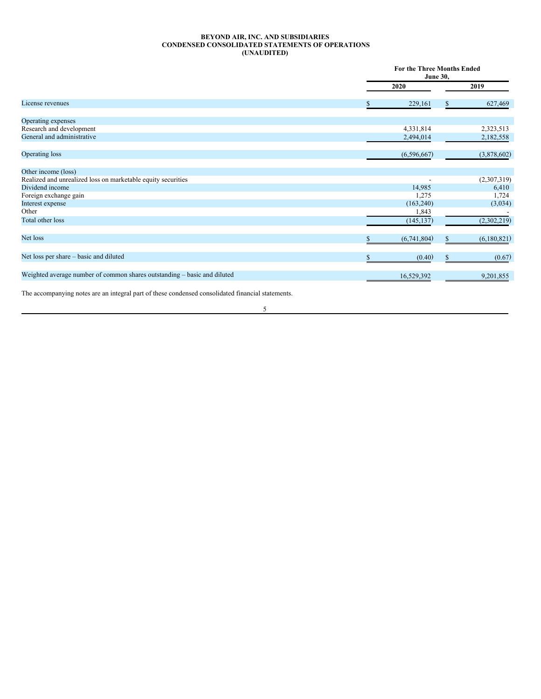## <span id="page-4-0"></span>**BEYOND AIR, INC. AND SUBSIDIARIES CONDENSED CONSOLIDATED STATEMENTS OF OPERATIONS (UNAUDITED)**

|                                                                          |             | For the Three Months Ended<br><b>June 30,</b> |
|--------------------------------------------------------------------------|-------------|-----------------------------------------------|
|                                                                          | 2020        | 2019                                          |
| License revenues                                                         | 229,161     | 627,469                                       |
| Operating expenses                                                       |             |                                               |
| Research and development                                                 | 4,331,814   | 2,323,513                                     |
| General and administrative                                               | 2,494,014   | 2,182,558                                     |
| Operating loss                                                           | (6,596,667) | (3,878,602)                                   |
| Other income (loss)                                                      |             |                                               |
| Realized and unrealized loss on marketable equity securities             |             | (2,307,319)                                   |
| Dividend income                                                          | 14,985      | 6,410                                         |
| Foreign exchange gain                                                    | 1,275       | 1,724                                         |
| Interest expense                                                         | (163,240)   | (3,034)                                       |
| Other                                                                    | 1,843       |                                               |
| Total other loss                                                         | (145, 137)  | (2,302,219)                                   |
| Net loss                                                                 | (6,741,804) | (6,180,821)                                   |
| Net loss per share – basic and diluted                                   | (0.40)      | (0.67)                                        |
| Weighted average number of common shares outstanding - basic and diluted | 16,529,392  | 9,201,855                                     |

The accompanying notes are an integral part of these condensed consolidated financial statements.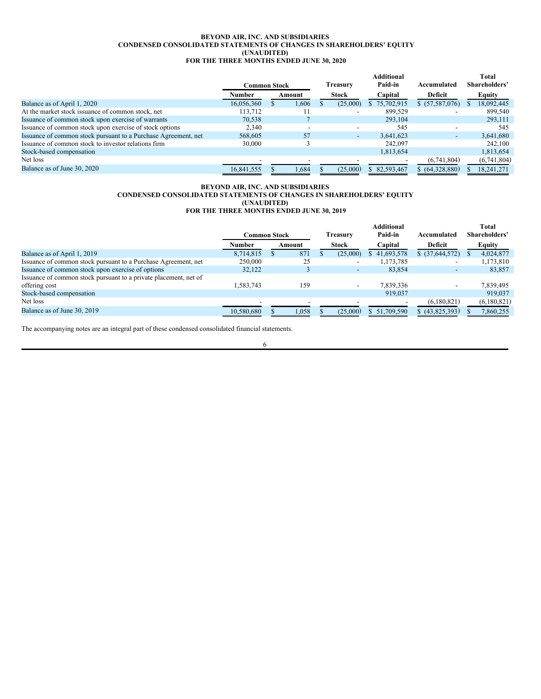#### <span id="page-5-0"></span>**BEYOND AIR, INC. AND SUBSIDIARIES CONDENSED CONSOLIDATED STATEMENTS OF CHANGES IN SHAREHOLDERS' EQUITY (UNAUDITED) FOR THE THREE MONTHS ENDED JUNE 30, 2020**

|                                                                |                     |        |              | <b>Additional</b> |                 |   | Total         |
|----------------------------------------------------------------|---------------------|--------|--------------|-------------------|-----------------|---|---------------|
|                                                                | <b>Common Stock</b> |        | Treasury     | Paid-in           | Accumulated     |   | Shareholders' |
|                                                                | Number              | Amount | <b>Stock</b> | Capital           | Deficit         |   | <b>Equity</b> |
| Balance as of April 1, 2020                                    | 16,056,360          | 1.606  | (25,000)     | \$75,702,915      | \$ (57,587,076) | ъ | 18,092,445    |
| At the market stock issuance of common stock, net              | 113.712             |        |              | 899.529           |                 |   | 899.540       |
| Issuance of common stock upon exercise of warrants             | 70,538              |        |              | 293,104           |                 |   | 293,111       |
| Issuance of common stock upon exercise of stock options        | 2,340               |        | -            | 545               |                 |   | 545           |
| Issuance of common stock pursuant to a Purchase Agreement, net | 568,605             | 57     | $\sim$       | 3.641.623         | ۰.              |   | 3,641,680     |
| Issuance of common stock to investor relations firm            | 30,000              |        |              | 242,097           |                 |   | 242,100       |
| Stock-based compensation                                       |                     |        |              | 1,813,654         |                 |   | 1,813,654     |
| Net loss                                                       |                     |        |              |                   | (6,741,804)     |   | (6,741,804)   |
| Balance as of June 30, 2020                                    | 16.841.555          | 1.684  | (25.000)     | \$ 82,593,467     | \$ (64.328.880) |   | 18.241.271    |

#### **BEYOND AIR, INC. AND SUBSIDIARIES CONDENSED CONSOLIDATED STATEMENTS OF CHANGES IN SHAREHOLDERS' EQUITY (UNAUDITED) FOR THE THREE MONTHS ENDED JUNE 30, 2019**

|                                                                  |                          |  |        |          |                          | <b>Additional</b> |                          | <b>Total</b>  |
|------------------------------------------------------------------|--------------------------|--|--------|----------|--------------------------|-------------------|--------------------------|---------------|
|                                                                  | <b>Common Stock</b>      |  |        | Treasurv |                          | Paid-in           | Accumulated              | Shareholders' |
|                                                                  | Number                   |  | Amount |          | Stock                    | Capital           | <b>Deficit</b>           | Equity        |
| Balance as of April 1, 2019                                      | 8.714.815                |  | 871    |          | (25,000)                 | \$41,693,578      | \$ (37,644,572)          | 4,024,877     |
| Issuance of common stock pursuant to a Purchase Agreement, net   | 250,000                  |  | 25     |          |                          | 1,173,785         | $\overline{\phantom{0}}$ | 1,173,810     |
| Issuance of common stock upon exercise of options                | 32,122                   |  |        |          | $\overline{\phantom{0}}$ | 83,854            | $\overline{\phantom{0}}$ | 83,857        |
| Issuance of common stock pursuant to a private placement, net of |                          |  |        |          |                          |                   |                          |               |
| offering cost                                                    | 1,583,743                |  | 159    |          |                          | 7,839,336         |                          | 7,839,495     |
| Stock-based compensation                                         |                          |  |        |          |                          | 919,037           |                          | 919,037       |
| Net loss                                                         | $\overline{\phantom{a}}$ |  |        |          |                          |                   | (6,180,821)              | (6,180,821)   |
| Balance as of June 30, 2019                                      | 10,580,680               |  | 1,058  |          | (25,000)                 | \$51,709,590      | \$ (43,825,393)          | 7,860,255     |

The accompanying notes are an integral part of these condensed consolidated financial statements.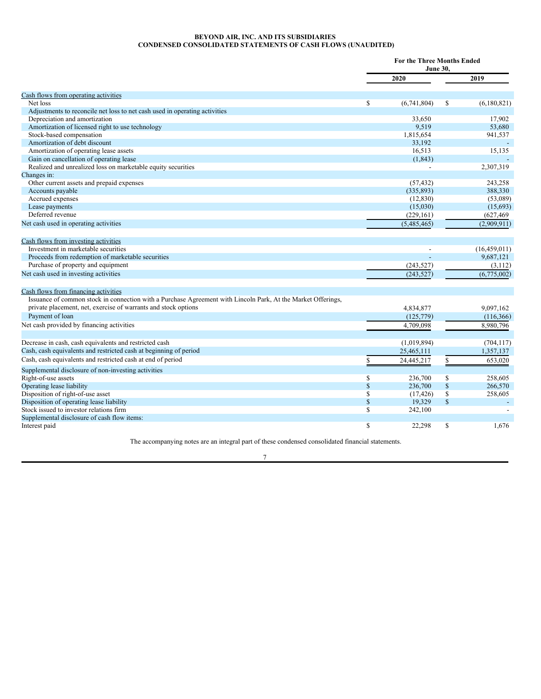## <span id="page-6-0"></span>**BEYOND AIR, INC. AND ITS SUBSIDIARIES CONDENSED CONSOLIDATED STATEMENTS OF CASH FLOWS (UNAUDITED)**

|                                                                                                              |             | <b>For the Three Months Ended</b> |               |                |
|--------------------------------------------------------------------------------------------------------------|-------------|-----------------------------------|---------------|----------------|
|                                                                                                              |             | 2020                              |               | 2019           |
| Cash flows from operating activities                                                                         |             |                                   |               |                |
| Net loss                                                                                                     | \$          | (6,741,804)                       | <sup>\$</sup> | (6,180,821)    |
| Adjustments to reconcile net loss to net cash used in operating activities                                   |             |                                   |               |                |
| Depreciation and amortization                                                                                |             | 33,650                            |               | 17.902         |
| Amortization of licensed right to use technology                                                             |             | 9,519                             |               | 53,680         |
| Stock-based compensation                                                                                     |             | 1,815,654                         |               | 941,537        |
| Amortization of debt discount                                                                                |             | 33.192                            |               |                |
| Amortization of operating lease assets                                                                       |             | 16,513                            |               | 15,135         |
| Gain on cancellation of operating lease                                                                      |             | (1, 843)                          |               |                |
| Realized and unrealized loss on marketable equity securities                                                 |             |                                   |               | 2,307,319      |
| Changes in:                                                                                                  |             |                                   |               |                |
| Other current assets and prepaid expenses                                                                    |             | (57, 432)                         |               | 243,258        |
| Accounts payable                                                                                             |             | (335, 893)                        |               | 388,330        |
| Accrued expenses                                                                                             |             | (12, 830)                         |               | (53,089)       |
| Lease payments                                                                                               |             | (15,030)                          |               | (15,693)       |
| Deferred revenue                                                                                             |             | (229, 161)                        |               | (627, 469)     |
| Net cash used in operating activities                                                                        |             | (5,485,465)                       |               | (2,909,911)    |
| Cash flows from investing activities                                                                         |             |                                   |               |                |
| Investment in marketable securities                                                                          |             |                                   |               | (16, 459, 011) |
| Proceeds from redemption of marketable securities                                                            |             |                                   |               | 9,687,121      |
| Purchase of property and equipment                                                                           |             | (243, 527)                        |               | (3,112)        |
| Net cash used in investing activities                                                                        |             | (243, 527)                        |               | (6,775,002)    |
|                                                                                                              |             |                                   |               |                |
| Cash flows from financing activities                                                                         |             |                                   |               |                |
| Issuance of common stock in connection with a Purchase Agreement with Lincoln Park, At the Market Offerings, |             |                                   |               |                |
| private placement, net, exercise of warrants and stock options                                               |             | 4,834,877                         |               | 9,097,162      |
| Payment of loan                                                                                              |             | (125, 779)                        |               | (116,366)      |
| Net cash provided by financing activities                                                                    |             | 4.709.098                         |               | 8,980,796      |
| Decrease in cash, cash equivalents and restricted cash                                                       |             | (1,019,894)                       |               | (704, 117)     |
| Cash, cash equivalents and restricted cash at beginning of period                                            |             | 25,465,111                        |               | 1,357,137      |
| Cash, cash equivalents and restricted cash at end of period                                                  | \$          | 24,445,217                        | \$            | 653.020        |
| Supplemental disclosure of non-investing activities                                                          |             |                                   |               |                |
| Right-of-use assets                                                                                          | \$          | 236,700                           | S             | 258,605        |
| Operating lease liability                                                                                    | $\mathbf S$ | 236,700                           | \$            | 266,570        |
| Disposition of right-of-use asset                                                                            | \$          | (17, 426)                         | \$            | 258,605        |
| Disposition of operating lease liability                                                                     | $\mathbf S$ | 19,329                            | $\mathbb{S}$  |                |
| Stock issued to investor relations firm                                                                      | \$          | 242,100                           |               |                |
| Supplemental disclosure of cash flow items:                                                                  |             |                                   |               |                |
| Interest paid                                                                                                | \$          | 22,298                            | S             | 1,676          |

The accompanying notes are an integral part of these condensed consolidated financial statements.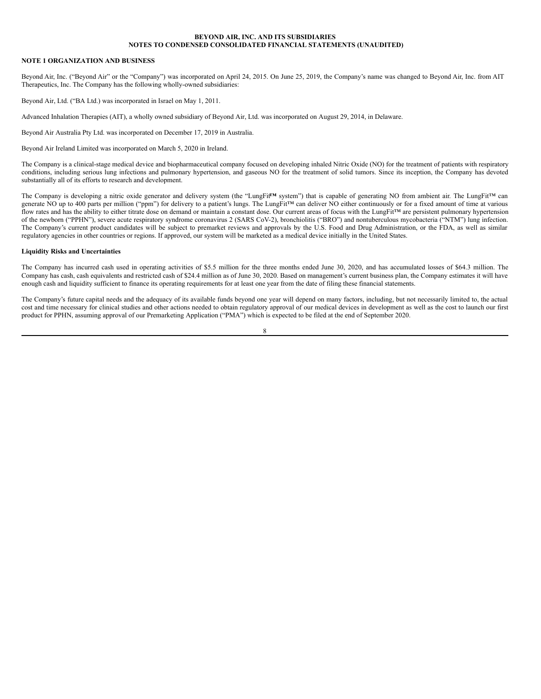## <span id="page-7-0"></span>**NOTE 1 ORGANIZATION AND BUSINESS**

Beyond Air, Inc. ("Beyond Air" or the "Company") was incorporated on April 24, 2015. On June 25, 2019, the Company's name was changed to Beyond Air, Inc. from AIT Therapeutics, Inc. The Company has the following wholly-owned subsidiaries:

Beyond Air, Ltd. ("BA Ltd.) was incorporated in Israel on May 1, 2011.

Advanced Inhalation Therapies (AIT), a wholly owned subsidiary of Beyond Air, Ltd. was incorporated on August 29, 2014, in Delaware.

Beyond Air Australia Pty Ltd. was incorporated on December 17, 2019 in Australia.

Beyond Air Ireland Limited was incorporated on March 5, 2020 in Ireland.

The Company is a clinical-stage medical device and biopharmaceutical company focused on developing inhaled Nitric Oxide (NO) for the treatment of patients with respiratory conditions, including serious lung infections and pulmonary hypertension, and gaseous NO for the treatment of solid tumors. Since its inception, the Company has devoted substantially all of its efforts to research and development.

The Company is developing a nitric oxide generator and delivery system (the "LungFit**™** system") that is capable of generating NO from ambient air. The LungFit™ can generate NO up to 400 parts per million ("ppm") for delivery to a patient's lungs. The LungFit™ can deliver NO either continuously or for a fixed amount of time at various flow rates and has the ability to either titrate dose on demand or maintain a constant dose. Our current areas of focus with the LungFit™ are persistent pulmonary hypertension of the newborn ("PPHN"), severe acute respiratory syndrome coronavirus 2 (SARS CoV-2), bronchiolitis ("BRO") and nontuberculous mycobacteria ("NTM") lung infection. The Company's current product candidates will be subject to premarket reviews and approvals by the U.S. Food and Drug Administration, or the FDA, as well as similar regulatory agencies in other countries or regions. If approved, our system will be marketed as a medical device initially in the United States.

## **Liquidity Risks and Uncertainties**

The Company has incurred cash used in operating activities of \$5.5 million for the three months ended June 30, 2020, and has accumulated losses of \$64.3 million. The Company has cash, cash equivalents and restricted cash of \$24.4 million as of June 30, 2020. Based on management's current business plan, the Company estimates it will have enough cash and liquidity sufficient to finance its operating requirements for at least one year from the date of filing these financial statements.

The Company's future capital needs and the adequacy of its available funds beyond one year will depend on many factors, including, but not necessarily limited to, the actual cost and time necessary for clinical studies and other actions needed to obtain regulatory approval of our medical devices in development as well as the cost to launch our first product for PPHN, assuming approval of our Premarketing Application ("PMA") which is expected to be filed at the end of September 2020.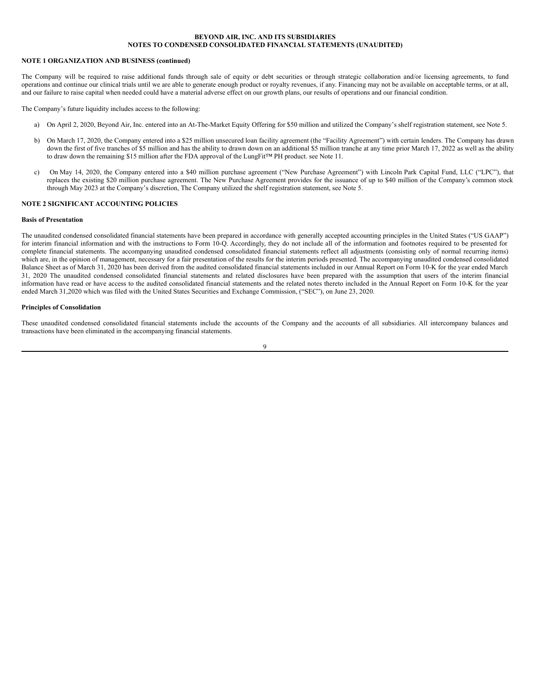## **NOTE 1 ORGANIZATION AND BUSINESS (continued)**

The Company will be required to raise additional funds through sale of equity or debt securities or through strategic collaboration and/or licensing agreements, to fund operations and continue our clinical trials until we are able to generate enough product or royalty revenues, if any. Financing may not be available on acceptable terms, or at all, and our failure to raise capital when needed could have a material adverse effect on our growth plans, our results of operations and our financial condition.

The Company's future liquidity includes access to the following:

- a) On April 2, 2020, Beyond Air, Inc. entered into an At-The-Market Equity Offering for \$50 million and utilized the Company's shelf registration statement, see Note 5.
- b) On March 17, 2020, the Company entered into a \$25 million unsecured loan facility agreement (the "Facility Agreement") with certain lenders. The Company has drawn down the first of five tranches of \$5 million and has the ability to drawn down on an additional \$5 million tranche at any time prior March 17, 2022 as well as the ability to draw down the remaining \$15 million after the FDA approval of the LungFit™ PH product. see Note 11.
- c) On May 14, 2020, the Company entered into a \$40 million purchase agreement ("New Purchase Agreement") with Lincoln Park Capital Fund, LLC ("LPC"), that replaces the existing \$20 million purchase agreement. The New Purchase Agreement provides for the issuance of up to \$40 million of the Company's common stock through May 2023 at the Company's discretion, The Company utilized the shelf registration statement, see Note 5.

## **NOTE 2 SIGNIFICANT ACCOUNTING POLICIES**

## **Basis of Presentation**

The unaudited condensed consolidated financial statements have been prepared in accordance with generally accepted accounting principles in the United States ("US GAAP") for interim financial information and with the instructions to Form 10-Q. Accordingly, they do not include all of the information and footnotes required to be presented for complete financial statements. The accompanying unaudited condensed consolidated financial statements reflect all adjustments (consisting only of normal recurring items) which are, in the opinion of management, necessary for a fair presentation of the results for the interim periods presented. The accompanying unaudited condensed consolidated Balance Sheet as of March 31, 2020 has been derived from the audited consolidated financial statements included in our Annual Report on Form 10-K for the year ended March 31, 2020 The unaudited condensed consolidated financial statements and related disclosures have been prepared with the assumption that users of the interim financial information have read or have access to the audited consolidated financial statements and the related notes thereto included in the Annual Report on Form 10-K for the year ended March 31,2020 which was filed with the United States Securities and Exchange Commission, ("SEC"), on June 23, 2020.

#### **Principles of Consolidation**

These unaudited condensed consolidated financial statements include the accounts of the Company and the accounts of all subsidiaries. All intercompany balances and transactions have been eliminated in the accompanying financial statements.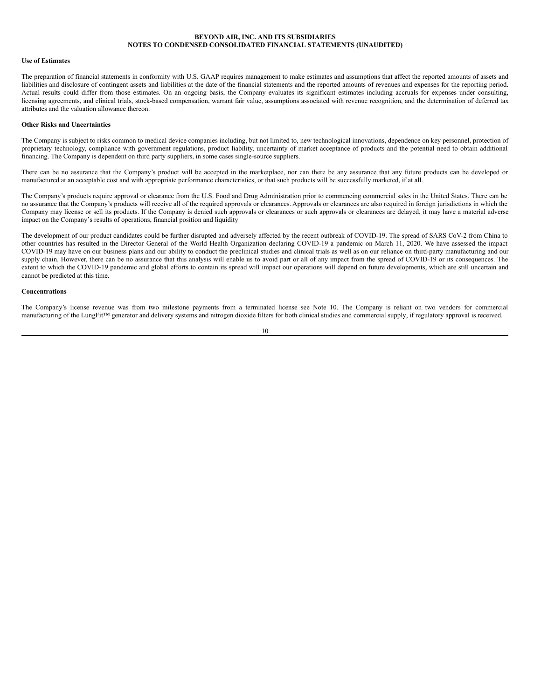## **Use of Estimates**

The preparation of financial statements in conformity with U.S. GAAP requires management to make estimates and assumptions that affect the reported amounts of assets and liabilities and disclosure of contingent assets and liabilities at the date of the financial statements and the reported amounts of revenues and expenses for the reporting period. Actual results could differ from those estimates. On an ongoing basis, the Company evaluates its significant estimates including accruals for expenses under consulting, licensing agreements, and clinical trials, stock-based compensation, warrant fair value, assumptions associated with revenue recognition, and the determination of deferred tax attributes and the valuation allowance thereon.

#### **Other Risks and Uncertainties**

The Company is subject to risks common to medical device companies including, but not limited to, new technological innovations, dependence on key personnel, protection of proprietary technology, compliance with government regulations, product liability, uncertainty of market acceptance of products and the potential need to obtain additional financing. The Company is dependent on third party suppliers, in some cases single-source suppliers.

There can be no assurance that the Company's product will be accepted in the marketplace, nor can there be any assurance that any future products can be developed or manufactured at an acceptable cost and with appropriate performance characteristics, or that such products will be successfully marketed, if at all.

The Company's products require approval or clearance from the U.S. Food and Drug Administration prior to commencing commercial sales in the United States. There can be no assurance that the Company's products will receive all of the required approvals or clearances. Approvals or clearances are also required in foreign jurisdictions in which the Company may license or sell its products. If the Company is denied such approvals or clearances or such approvals or clearances are delayed, it may have a material adverse impact on the Company's results of operations, financial position and liquidity

The development of our product candidates could be further disrupted and adversely affected by the recent outbreak of COVID-19. The spread of SARS CoV-2 from China to other countries has resulted in the Director General of the World Health Organization declaring COVID-19 a pandemic on March 11, 2020. We have assessed the impact COVID-19 may have on our business plans and our ability to conduct the preclinical studies and clinical trials as well as on our reliance on third-party manufacturing and our supply chain. However, there can be no assurance that this analysis will enable us to avoid part or all of any impact from the spread of COVID-19 or its consequences. The extent to which the COVID-19 pandemic and global efforts to contain its spread will impact our operations will depend on future developments, which are still uncertain and cannot be predicted at this time.

## **Concentrations**

The Company's license revenue was from two milestone payments from a terminated license see Note 10. The Company is reliant on two vendors for commercial manufacturing of the LungFit™ generator and delivery systems and nitrogen dioxide filters for both clinical studies and commercial supply, if regulatory approval is received.

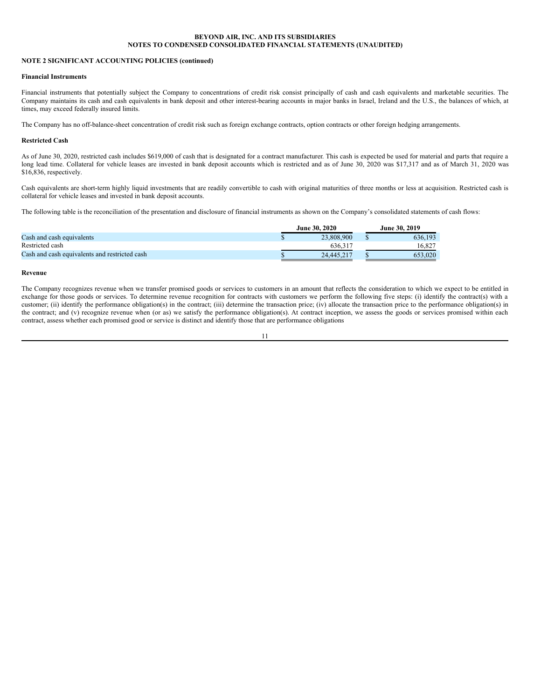## **NOTE 2 SIGNIFICANT ACCOUNTING POLICIES (continued)**

## **Financial Instruments**

Financial instruments that potentially subject the Company to concentrations of credit risk consist principally of cash and cash equivalents and marketable securities. The Company maintains its cash and cash equivalents in bank deposit and other interest-bearing accounts in major banks in Israel, Ireland and the U.S., the balances of which, at times, may exceed federally insured limits.

The Company has no off-balance-sheet concentration of credit risk such as foreign exchange contracts, option contracts or other foreign hedging arrangements.

#### **Restricted Cash**

As of June 30, 2020, restricted cash includes \$619,000 of cash that is designated for a contract manufacturer. This cash is expected be used for material and parts that require a long lead time. Collateral for vehicle leases are invested in bank deposit accounts which is restricted and as of June 30, 2020 was \$17,317 and as of March 31, 2020 was \$16,836, respectively.

Cash equivalents are short-term highly liquid investments that are readily convertible to cash with original maturities of three months or less at acquisition. Restricted cash is collateral for vehicle leases and invested in bank deposit accounts.

The following table is the reconciliation of the presentation and disclosure of financial instruments as shown on the Company's consolidated statements of cash flows:

|                                               | <b>June 30, 2020</b> | June 30, 2019 |         |  |  |
|-----------------------------------------------|----------------------|---------------|---------|--|--|
| Cash and cash equivalents                     |                      | 23,808,900    | 636.193 |  |  |
| Restricted cash                               |                      | 636.31        | 16.827  |  |  |
| Cash and cash equivalents and restricted cash |                      | 24,445,217    | 653.020 |  |  |

#### **Revenue**

The Company recognizes revenue when we transfer promised goods or services to customers in an amount that reflects the consideration to which we expect to be entitled in exchange for those goods or services. To determine revenue recognition for contracts with customers we perform the following five steps: (i) identify the contract(s) with a customer; (ii) identify the performance obligation(s) in the contract; (iii) determine the transaction price; (iv) allocate the transaction price to the performance obligation(s) in the contract; and (v) recognize revenue when (or as) we satisfy the performance obligation(s). At contract inception, we assess the goods or services promised within each contract, assess whether each promised good or service is distinct and identify those that are performance obligations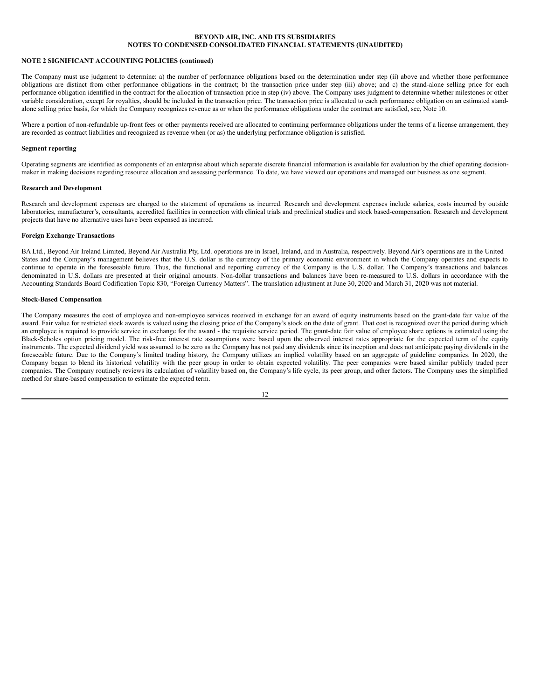## **NOTE 2 SIGNIFICANT ACCOUNTING POLICIES (continued)**

The Company must use judgment to determine: a) the number of performance obligations based on the determination under step (ii) above and whether those performance obligations are distinct from other performance obligations in the contract; b) the transaction price under step (iii) above; and c) the stand-alone selling price for each performance obligation identified in the contract for the allocation of transaction price in step (iv) above. The Company uses judgment to determine whether milestones or other variable consideration, except for royalties, should be included in the transaction price. The transaction price is allocated to each performance obligation on an estimated standalone selling price basis, for which the Company recognizes revenue as or when the performance obligations under the contract are satisfied, see, Note 10.

Where a portion of non-refundable up-front fees or other payments received are allocated to continuing performance obligations under the terms of a license arrangement, they are recorded as contract liabilities and recognized as revenue when (or as) the underlying performance obligation is satisfied.

#### **Segment reporting**

Operating segments are identified as components of an enterprise about which separate discrete financial information is available for evaluation by the chief operating decisionmaker in making decisions regarding resource allocation and assessing performance. To date, we have viewed our operations and managed our business as one segment.

## **Research and Development**

Research and development expenses are charged to the statement of operations as incurred. Research and development expenses include salaries, costs incurred by outside laboratories, manufacturer's, consultants, accredited facilities in connection with clinical trials and preclinical studies and stock based-compensation. Research and development projects that have no alternative uses have been expensed as incurred.

#### **Foreign Exchange Transactions**

BA Ltd., Beyond Air Ireland Limited, Beyond Air Australia Pty, Ltd. operations are in Israel, Ireland, and in Australia, respectively. Beyond Air's operations are in the United States and the Company's management believes that the U.S. dollar is the currency of the primary economic environment in which the Company operates and expects to continue to operate in the foreseeable future. Thus, the functional and reporting currency of the Company is the U.S. dollar. The Company's transactions and balances denominated in U.S. dollars are presented at their original amounts. Non-dollar transactions and balances have been re-measured to U.S. dollars in accordance with the Accounting Standards Board Codification Topic 830, "Foreign Currency Matters". The translation adjustment at June 30, 2020 and March 31, 2020 was not material.

## **Stock-Based Compensation**

The Company measures the cost of employee and non-employee services received in exchange for an award of equity instruments based on the grant-date fair value of the award. Fair value for restricted stock awards is valued using the closing price of the Company's stock on the date of grant. That cost is recognized over the period during which an employee is required to provide service in exchange for the award - the requisite service period. The grant-date fair value of employee share options is estimated using the Black-Scholes option pricing model. The risk-free interest rate assumptions were based upon the observed interest rates appropriate for the expected term of the equity instruments. The expected dividend yield was assumed to be zero as the Company has not paid any dividends since its inception and does not anticipate paying dividends in the foreseeable future. Due to the Company's limited trading history, the Company utilizes an implied volatility based on an aggregate of guideline companies. In 2020, the Company began to blend its historical volatility with the peer group in order to obtain expected volatility. The peer companies were based similar publicly traded peer companies. The Company routinely reviews its calculation of volatility based on, the Company's life cycle, its peer group, and other factors. The Company uses the simplified method for share-based compensation to estimate the expected term.

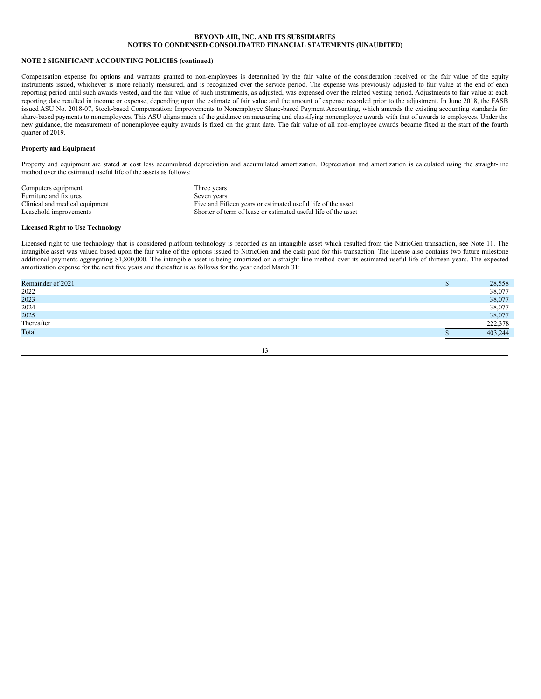## **NOTE 2 SIGNIFICANT ACCOUNTING POLICIES (continued)**

Compensation expense for options and warrants granted to non-employees is determined by the fair value of the consideration received or the fair value of the equity instruments issued, whichever is more reliably measured, and is recognized over the service period. The expense was previously adjusted to fair value at the end of each reporting period until such awards vested, and the fair value of such instruments, as adjusted, was expensed over the related vesting period. Adjustments to fair value at each reporting date resulted in income or expense, depending upon the estimate of fair value and the amount of expense recorded prior to the adjustment. In June 2018, the FASB issued ASU No. 2018-07, Stock-based Compensation: Improvements to Nonemployee Share-based Payment Accounting, which amends the existing accounting standards for share-based payments to nonemployees. This ASU aligns much of the guidance on measuring and classifying nonemployee awards with that of awards to employees. Under the new guidance, the measurement of nonemployee equity awards is fixed on the grant date. The fair value of all non-employee awards became fixed at the start of the fourth quarter of 2019.

#### **Property and Equipment**

Property and equipment are stated at cost less accumulated depreciation and accumulated amortization. Depreciation and amortization is calculated using the straight-line method over the estimated useful life of the assets as follows:

| Computers equipment            | Three years                                                    |
|--------------------------------|----------------------------------------------------------------|
| Furniture and fixtures         | Seven years                                                    |
| Clinical and medical equipment | Five and Fifteen years or estimated useful life of the asset   |
| Leasehold improvements         | Shorter of term of lease or estimated useful life of the asset |

## **Licensed Right to Use Technology**

Licensed right to use technology that is considered platform technology is recorded as an intangible asset which resulted from the NitricGen transaction, see Note 11. The intangible asset was valued based upon the fair value of the options issued to NitricGen and the cash paid for this transaction. The license also contains two future milestone additional payments aggregating \$1,800,000. The intangible asset is being amortized on a straight-line method over its estimated useful life of thirteen years. The expected amortization expense for the next five years and thereafter is as follows for the year ended March 31:

| Remainder of 2021 | 28,558  |
|-------------------|---------|
| 2022              | 38,077  |
| 2023              | 38,077  |
| 2024<br>2025      | 38,077  |
|                   | 38,077  |
| Thereafter        | 222,378 |
| Total             | 403,244 |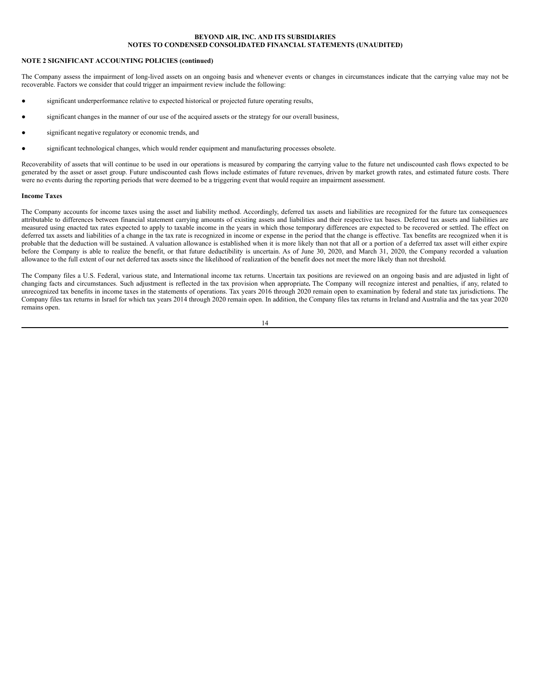## **NOTE 2 SIGNIFICANT ACCOUNTING POLICIES (continued)**

The Company assess the impairment of long-lived assets on an ongoing basis and whenever events or changes in circumstances indicate that the carrying value may not be recoverable. Factors we consider that could trigger an impairment review include the following:

- significant underperformance relative to expected historical or projected future operating results,
- significant changes in the manner of our use of the acquired assets or the strategy for our overall business,
- significant negative regulatory or economic trends, and
- significant technological changes, which would render equipment and manufacturing processes obsolete.

Recoverability of assets that will continue to be used in our operations is measured by comparing the carrying value to the future net undiscounted cash flows expected to be generated by the asset or asset group. Future undiscounted cash flows include estimates of future revenues, driven by market growth rates, and estimated future costs. There were no events during the reporting periods that were deemed to be a triggering event that would require an impairment assessment.

#### **Income Taxes**

The Company accounts for income taxes using the asset and liability method. Accordingly, deferred tax assets and liabilities are recognized for the future tax consequences attributable to differences between financial statement carrying amounts of existing assets and liabilities and their respective tax bases. Deferred tax assets and liabilities are measured using enacted tax rates expected to apply to taxable income in the years in which those temporary differences are expected to be recovered or settled. The effect on deferred tax assets and liabilities of a change in the tax rate is recognized in income or expense in the period that the change is effective. Tax benefits are recognized when it is probable that the deduction will be sustained. A valuation allowance is established when it is more likely than not that all or a portion of a deferred tax asset will either expire before the Company is able to realize the benefit, or that future deductibility is uncertain. As of June 30, 2020, and March 31, 2020, the Company recorded a valuation allowance to the full extent of our net deferred tax assets since the likelihood of realization of the benefit does not meet the more likely than not threshold.

The Company files a U.S. Federal, various state, and International income tax returns. Uncertain tax positions are reviewed on an ongoing basis and are adjusted in light of changing facts and circumstances. Such adjustment is reflected in the tax provision when appropriate**.** The Company will recognize interest and penalties, if any, related to unrecognized tax benefits in income taxes in the statements of operations. Tax years 2016 through 2020 remain open to examination by federal and state tax jurisdictions. The Company files tax returns in Israel for which tax years 2014 through 2020 remain open. In addition, the Company files tax returns in Ireland and Australia and the tax year 2020 remains open.

$$
14\quad
$$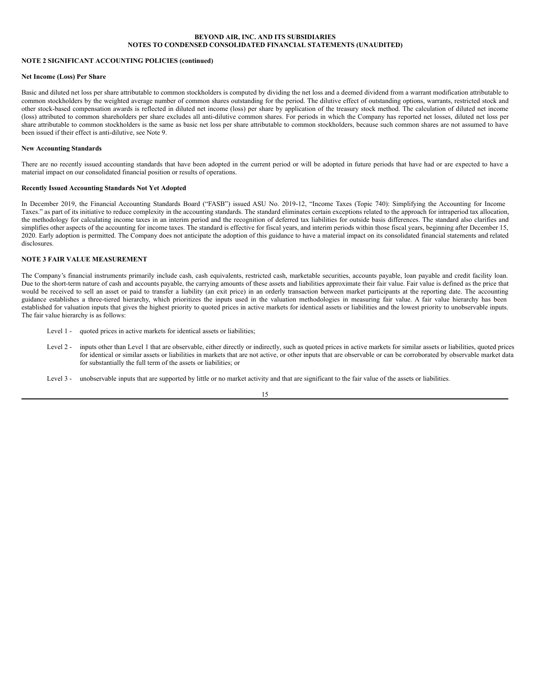## **NOTE 2 SIGNIFICANT ACCOUNTING POLICIES (continued)**

## **Net Income (Loss) Per Share**

Basic and diluted net loss per share attributable to common stockholders is computed by dividing the net loss and a deemed dividend from a warrant modification attributable to common stockholders by the weighted average number of common shares outstanding for the period. The dilutive effect of outstanding options, warrants, restricted stock and other stock-based compensation awards is reflected in diluted net income (loss) per share by application of the treasury stock method. The calculation of diluted net income (loss) attributed to common shareholders per share excludes all anti-dilutive common shares. For periods in which the Company has reported net losses, diluted net loss per share attributable to common stockholders is the same as basic net loss per share attributable to common stockholders, because such common shares are not assumed to have been issued if their effect is anti-dilutive, see Note 9.

#### **New Accounting Standards**

There are no recently issued accounting standards that have been adopted in the current period or will be adopted in future periods that have had or are expected to have a material impact on our consolidated financial position or results of operations.

## **Recently Issued Accounting Standards Not Yet Adopted**

In December 2019, the Financial Accounting Standards Board ("FASB") issued ASU No. 2019-12, "Income Taxes (Topic 740): Simplifying the Accounting for Income Taxes." as part of its initiative to reduce complexity in the accounting standards. The standard eliminates certain exceptions related to the approach for intraperiod tax allocation, the methodology for calculating income taxes in an interim period and the recognition of deferred tax liabilities for outside basis differences. The standard also clarifies and simplifies other aspects of the accounting for income taxes. The standard is effective for fiscal years, and interim periods within those fiscal years, beginning after December 15, 2020. Early adoption is permitted. The Company does not anticipate the adoption of this guidance to have a material impact on its consolidated financial statements and related disclosures.

## **NOTE 3 FAIR VALUE MEASUREMENT**

The Company's financial instruments primarily include cash, cash equivalents, restricted cash, marketable securities, accounts payable, loan payable and credit facility loan. Due to the short-term nature of cash and accounts payable, the carrying amounts of these assets and liabilities approximate their fair value. Fair value is defined as the price that would be received to sell an asset or paid to transfer a liability (an exit price) in an orderly transaction between market participants at the reporting date. The accounting guidance establishes a three-tiered hierarchy, which prioritizes the inputs used in the valuation methodologies in measuring fair value. A fair value hierarchy has been established for valuation inputs that gives the highest priority to quoted prices in active markets for identical assets or liabilities and the lowest priority to unobservable inputs. The fair value hierarchy is as follows:

- Level 1 quoted prices in active markets for identical assets or liabilities;
- Level 2 inputs other than Level 1 that are observable, either directly or indirectly, such as quoted prices in active markets for similar assets or liabilities, quoted prices for identical or similar assets or liabilities in markets that are not active, or other inputs that are observable or can be corroborated by observable market data for substantially the full term of the assets or liabilities; or
- Level 3 unobservable inputs that are supported by little or no market activity and that are significant to the fair value of the assets or liabilities.

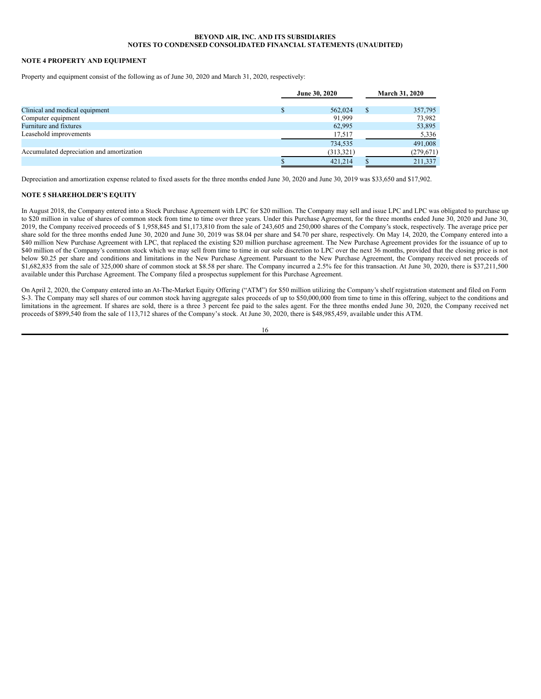## **NOTE 4 PROPERTY AND EQUIPMENT**

Property and equipment consist of the following as of June 30, 2020 and March 31, 2020, respectively:

|                                           | June 30, 2020 |   | <b>March 31, 2020</b> |
|-------------------------------------------|---------------|---|-----------------------|
| Clinical and medical equipment            | 562,024       | S | 357,795               |
| Computer equipment                        | 91,999        |   | 73,982                |
| Furniture and fixtures                    | 62,995        |   | 53,895                |
| Leasehold improvements                    | 17,517        |   | 5,336                 |
|                                           | 734,535       |   | 491,008               |
| Accumulated depreciation and amortization | (313, 321)    |   | (279, 671)            |
|                                           | 421,214       |   | 211,337               |

Depreciation and amortization expense related to fixed assets for the three months ended June 30, 2020 and June 30, 2019 was \$33,650 and \$17,902.

## **NOTE 5 SHAREHOLDER'S EQUITY**

In August 2018, the Company entered into a Stock Purchase Agreement with LPC for \$20 million. The Company may sell and issue LPC and LPC was obligated to purchase up to \$20 million in value of shares of common stock from time to time over three years. Under this Purchase Agreement, for the three months ended June 30, 2020 and June 30, 2019, the Company received proceeds of \$ 1,958,845 and \$1,173,810 from the sale of 243,605 and 250,000 shares of the Company's stock, respectively. The average price per share sold for the three months ended June 30, 2020 and June 30, 2019 was \$8.04 per share and \$4.70 per share, respectively. On May 14, 2020, the Company entered into a \$40 million New Purchase Agreement with LPC, that replaced the existing \$20 million purchase agreement. The New Purchase Agreement provides for the issuance of up to \$40 million of the Company's common stock which we may sell from time to time in our sole discretion to LPC over the next 36 months, provided that the closing price is not below \$0.25 per share and conditions and limitations in the New Purchase Agreement. Pursuant to the New Purchase Agreement, the Company received net proceeds of \$1,682,835 from the sale of 325,000 share of common stock at \$8.58 per share. The Company incurred a 2.5% fee for this transaction. At June 30, 2020, there is \$37,211,500 available under this Purchase Agreement. The Company filed a prospectus supplement for this Purchase Agreement.

On April 2, 2020, the Company entered into an At-The-Market Equity Offering ("ATM") for \$50 million utilizing the Company's shelf registration statement and filed on Form S-3. The Company may sell shares of our common stock having aggregate sales proceeds of up to \$50,000,000 from time to time in this offering, subject to the conditions and limitations in the agreement. If shares are sold, there is a three 3 percent fee paid to the sales agent. For the three months ended June 30, 2020, the Company received net proceeds of \$899,540 from the sale of 113,712 shares of the Company's stock. At June 30, 2020, there is \$48,985,459, available under this ATM.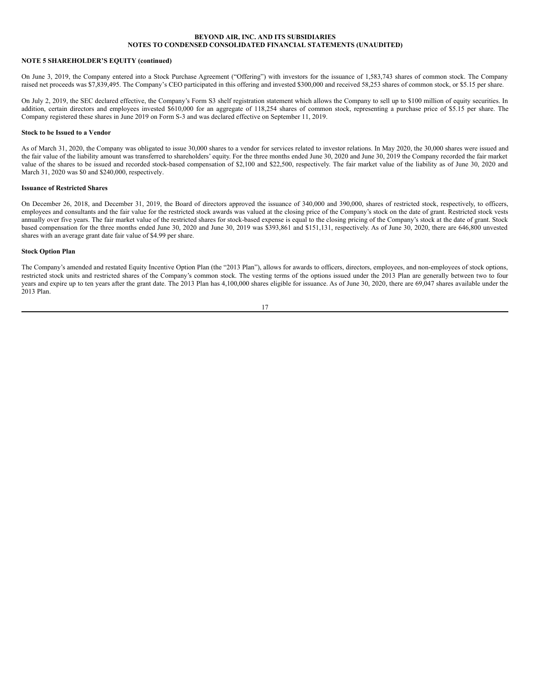## **NOTE 5 SHAREHOLDER'S EQUITY (continued)**

On June 3, 2019, the Company entered into a Stock Purchase Agreement ("Offering") with investors for the issuance of 1,583,743 shares of common stock. The Company raised net proceeds was \$7,839,495. The Company's CEO participated in this offering and invested \$300,000 and received 58,253 shares of common stock, or \$5.15 per share.

On July 2, 2019, the SEC declared effective, the Company's Form S3 shelf registration statement which allows the Company to sell up to \$100 million of equity securities. In addition, certain directors and employees invested \$610,000 for an aggregate of 118,254 shares of common stock, representing a purchase price of \$5.15 per share. The Company registered these shares in June 2019 on Form S-3 and was declared effective on September 11, 2019.

#### **Stock to be Issued to a Vendor**

As of March 31, 2020, the Company was obligated to issue 30,000 shares to a vendor for services related to investor relations. In May 2020, the 30,000 shares were issued and the fair value of the liability amount was transferred to shareholders' equity. For the three months ended June 30, 2020 and June 30, 2019 the Company recorded the fair market value of the shares to be issued and recorded stock-based compensation of \$2,100 and \$22,500, respectively. The fair market value of the liability as of June 30, 2020 and March 31, 2020 was \$0 and \$240,000, respectively.

## **Issuance of Restricted Shares**

On December 26, 2018, and December 31, 2019, the Board of directors approved the issuance of 340,000 and 390,000, shares of restricted stock, respectively, to officers, employees and consultants and the fair value for the restricted stock awards was valued at the closing price of the Company's stock on the date of grant. Restricted stock vests annually over five years. The fair market value of the restricted shares for stock-based expense is equal to the closing pricing of the Company's stock at the date of grant. Stock based compensation for the three months ended June 30, 2020 and June 30, 2019 was \$393,861 and \$151,131, respectively. As of June 30, 2020, there are 646,800 unvested shares with an average grant date fair value of \$4.99 per share.

## **Stock Option Plan**

The Company's amended and restated Equity Incentive Option Plan (the "2013 Plan"), allows for awards to officers, directors, employees, and non-employees of stock options, restricted stock units and restricted shares of the Company's common stock. The vesting terms of the options issued under the 2013 Plan are generally between two to four years and expire up to ten years after the grant date. The 2013 Plan has 4,100,000 shares eligible for issuance. As of June 30, 2020, there are 69,047 shares available under the 2013 Plan.

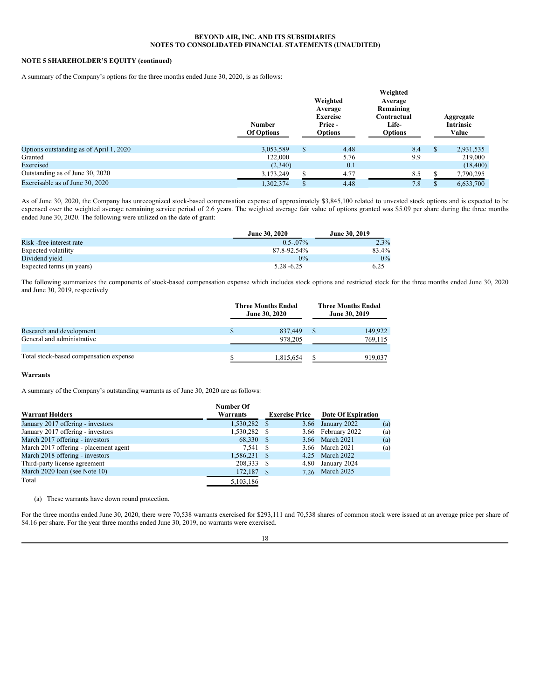## **NOTE 5 SHAREHOLDER'S EQUITY (continued)**

A summary of the Company's options for the three months ended June 30, 2020, is as follows:

|                                         | <b>Number</b><br><b>Of Options</b> | Weighted<br>Average<br><b>Exercise</b><br>Price -<br><b>Options</b> | Weighted<br>Average<br>Remaining<br>Contractual<br><b>Life-</b><br><b>Options</b> | Aggregate<br><b>Intrinsic</b><br>Value |
|-----------------------------------------|------------------------------------|---------------------------------------------------------------------|-----------------------------------------------------------------------------------|----------------------------------------|
| Options outstanding as of April 1, 2020 | 3,053,589                          | \$<br>4.48                                                          | 8.4                                                                               | \$<br>2,931,535                        |
| Granted                                 | 122,000                            | 5.76                                                                | 9.9                                                                               | 219,000                                |
| Exercised                               | (2,340)                            | 0.1                                                                 |                                                                                   | (18, 400)                              |
| Outstanding as of June 30, 2020         | 3,173,249                          | 4.77                                                                | 8.5                                                                               | 7,790,295                              |
| Exercisable as of June 30, 2020         | 1,302,374                          | 4.48                                                                | 7.8                                                                               | 6,633,700                              |

As of June 30, 2020, the Company has unrecognized stock-based compensation expense of approximately \$3,845,100 related to unvested stock options and is expected to be expensed over the weighted average remaining service period of 2.6 years. The weighted average fair value of options granted was \$5.09 per share during the three months ended June 30, 2020. The following were utilized on the date of grant:

|                           | <b>June 30, 2020</b> | <b>June 30, 2019</b> |
|---------------------------|----------------------|----------------------|
| Risk - free interest rate | $0.5 - 07\%$         | $2.3\%$              |
| Expected volatility       | 87.8-92.54%          | 83.4%                |
| Dividend yield            | $0\%$                | $0\%$                |
| Expected terms (in years) | $5.28 - 6.25$        | 6.25                 |

The following summarizes the components of stock-based compensation expense which includes stock options and restricted stock for the three months ended June 30, 2020 and June 30, 2019, respectively

|                                        | <b>Three Months Ended</b><br><b>June 30, 2020</b> |           | <b>Three Months Ended</b><br>June 30, 2019 |         |
|----------------------------------------|---------------------------------------------------|-----------|--------------------------------------------|---------|
| Research and development               |                                                   | 837,449   |                                            | 149.922 |
| General and administrative             |                                                   | 978,205   |                                            | 769,115 |
|                                        |                                                   |           |                                            |         |
| Total stock-based compensation expense |                                                   | 1.815.654 |                                            | 919.037 |

#### **Warrants**

A summary of the Company's outstanding warrants as of June 30, 2020 are as follows:

|                                       | <b>Number Of</b> |                       |      |                    |     |
|---------------------------------------|------------------|-----------------------|------|--------------------|-----|
| <b>Warrant Holders</b>                | Warrants         | <b>Exercise Price</b> |      | Date Of Expiration |     |
| January 2017 offering - investors     | 1,530,282        | - \$                  |      | 3.66 January 2022  | (a) |
| January 2017 offering - investors     | 1,530,282        |                       |      | 3.66 February 2022 | (a) |
| March 2017 offering - investors       | 68,330           |                       |      | 3.66 March 2021    | (a) |
| March 2017 offering - placement agent | 7.541            |                       |      | 3.66 March 2021    | (a) |
| March 2018 offering - investors       | 1,586,231        |                       |      | 4.25 March 2022    |     |
| Third-party license agreement         | 208,333          |                       |      | 4.80 January 2024  |     |
| March 2020 loan (see Note 10)         | 172,187          |                       | 7.26 | March 2025         |     |
| Total                                 | 5,103,186        |                       |      |                    |     |

(a) These warrants have down round protection.

For the three months ended June 30, 2020, there were 70,538 warrants exercised for \$293,111 and 70,538 shares of common stock were issued at an average price per share of \$4.16 per share. For the year three months ended June 30, 2019, no warrants were exercised.

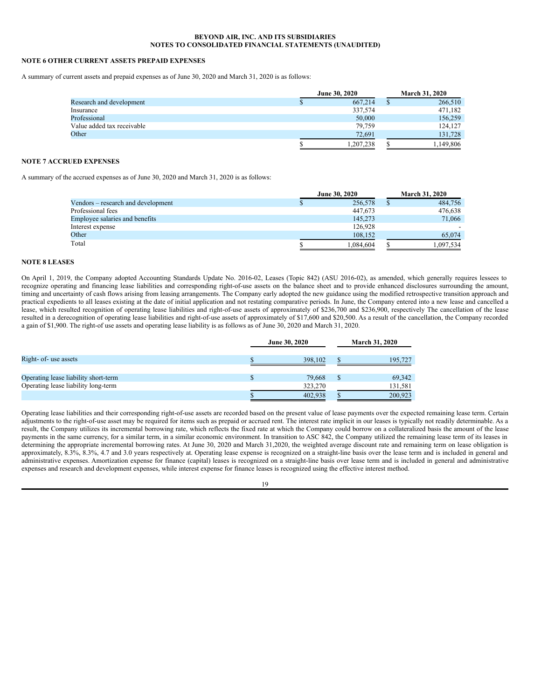## **NOTE 6 OTHER CURRENT ASSETS PREPAID EXPENSES**

A summary of current assets and prepaid expenses as of June 30, 2020 and March 31, 2020 is as follows:

|                            | <b>June 30, 2020</b> |   | <b>March 31, 2020</b> |
|----------------------------|----------------------|---|-----------------------|
| Research and development   | 667,214              |   | 266,510               |
| Insurance                  | 337,574              |   | 471,182               |
| Professional               | 50,000               |   | 156,259               |
| Value added tax receivable | 79,759               |   | 124,127               |
| Other                      | 72,691               |   | 131.728               |
|                            | 1.207.238            | e | 1,149,806             |

## **NOTE 7 ACCRUED EXPENSES**

A summary of the accrued expenses as of June 30, 2020 and March 31, 2020 is as follows:

|                                    | <b>June 30, 2020</b> |  | <b>March 31, 2020</b> |
|------------------------------------|----------------------|--|-----------------------|
| Vendors – research and development | 256,578              |  | 484,756               |
| Professional fees                  | 447,673              |  | 476,638               |
| Employee salaries and benefits     | 145,273              |  | 71,066                |
| Interest expense                   | 126.928              |  |                       |
| Other                              | 108,152              |  | 65,074                |
| Total                              | 1.084.604            |  | 1.097.534             |

## **NOTE 8 LEASES**

On April 1, 2019, the Company adopted Accounting Standards Update No. 2016-02, Leases (Topic 842) (ASU 2016-02), as amended, which generally requires lessees to recognize operating and financing lease liabilities and corresponding right-of-use assets on the balance sheet and to provide enhanced disclosures surrounding the amount, timing and uncertainty of cash flows arising from leasing arrangements. The Company early adopted the new guidance using the modified retrospective transition approach and practical expedients to all leases existing at the date of initial application and not restating comparative periods. In June, the Company entered into a new lease and cancelled a lease, which resulted recognition of operating lease liabilities and right-of-use assets of approximately of \$236,700 and \$236,900, respectively The cancellation of the lease resulted in a derecognition of operating lease liabilities and right-of-use assets of approximately of \$17,600 and \$20,500. As a result of the cancellation, the Company recorded a gain of \$1,900. The right-of use assets and operating lease liability is as follows as of June 30, 2020 and March 31, 2020.

|                                      | <b>June 30, 2020</b> |  | <b>March 31, 2020</b> |  |
|--------------------------------------|----------------------|--|-----------------------|--|
| Right- of- use assets                | 398,102              |  | 195,727               |  |
|                                      |                      |  |                       |  |
| Operating lease liability short-term | 79.668               |  | 69,342                |  |
| Operating lease liability long-term  | 323,270              |  | 131,581               |  |
|                                      | 402.938              |  | 200.923               |  |

Operating lease liabilities and their corresponding right-of-use assets are recorded based on the present value of lease payments over the expected remaining lease term. Certain adjustments to the right-of-use asset may be required for items such as prepaid or accrued rent. The interest rate implicit in our leases is typically not readily determinable. As a result, the Company utilizes its incremental borrowing rate, which reflects the fixed rate at which the Company could borrow on a collateralized basis the amount of the lease payments in the same currency, for a similar term, in a similar economic environment. In transition to ASC 842, the Company utilized the remaining lease term of its leases in determining the appropriate incremental borrowing rates. At June 30, 2020 and March 31,2020, the weighted average discount rate and remaining term on lease obligation is approximately, 8.3%, 8.3%, 4.7 and 3.0 years respectively at. Operating lease expense is recognized on a straight-line basis over the lease term and is included in general and administrative expenses. Amortization expense for finance (capital) leases is recognized on a straight-line basis over lease term and is included in general and administrative expenses and research and development expenses, while interest expense for finance leases is recognized using the effective interest method.

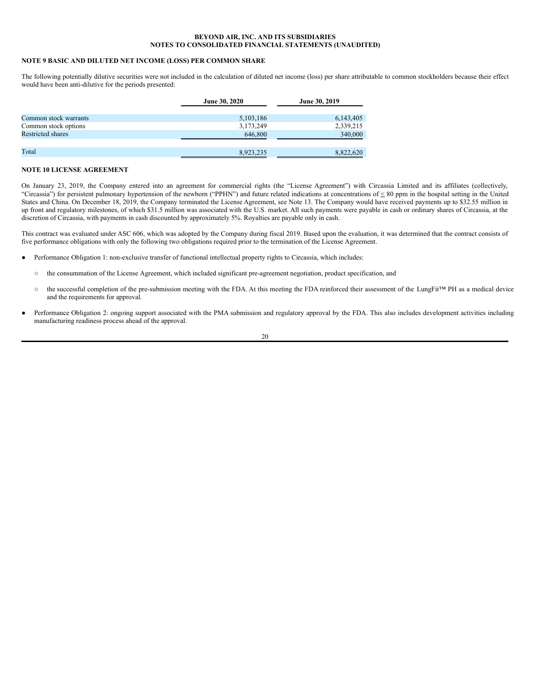## **NOTE 9 BASIC AND DILUTED NET INCOME (LOSS) PER COMMON SHARE**

The following potentially dilutive securities were not included in the calculation of diluted net income (loss) per share attributable to common stockholders because their effect would have been anti-dilutive for the periods presented:

|                          | <b>June 30, 2020</b> | June 30, 2019 |
|--------------------------|----------------------|---------------|
|                          |                      |               |
| Common stock warrants    | 5,103,186            | 6,143,405     |
| Common stock options     | 3,173,249            | 2,339,215     |
| <b>Restricted shares</b> | 646,800              | 340,000       |
|                          |                      |               |
| Total                    | 8,923,235            | 8,822,620     |

## **NOTE 10 LICENSE AGREEMENT**

On January 23, 2019, the Company entered into an agreement for commercial rights (the "License Agreement") with Circassia Limited and its affiliates (collectively, "Circassia") for persistent pulmonary hypertension of the newborn ("PPHN") and future related indications at concentrations of  $\leq 80$  ppm in the hospital setting in the United States and China. On December 18, 2019, the Company terminated the License Agreement, see Note 13. The Company would have received payments up to \$32.55 million in up front and regulatory milestones, of which \$31.5 million was associated with the U.S. market. All such payments were payable in cash or ordinary shares of Circassia, at the discretion of Circassia, with payments in cash discounted by approximately 5%. Royalties are payable only in cash.

This contract was evaluated under ASC 606, which was adopted by the Company during fiscal 2019. Based upon the evaluation, it was determined that the contract consists of five performance obligations with only the following two obligations required prior to the termination of the License Agreement.

- Performance Obligation 1: non-exclusive transfer of functional intellectual property rights to Circassia, which includes:
	- the consummation of the License Agreement, which included significant pre-agreement negotiation, product specification, and
	- the successful completion of the pre-submission meeting with the FDA. At this meeting the FDA reinforced their assessment of the LungFit™ PH as a medical device and the requirements for approval.
- Performance Obligation 2: ongoing support associated with the PMA submission and regulatory approval by the FDA. This also includes development activities including manufacturing readiness process ahead of the approval.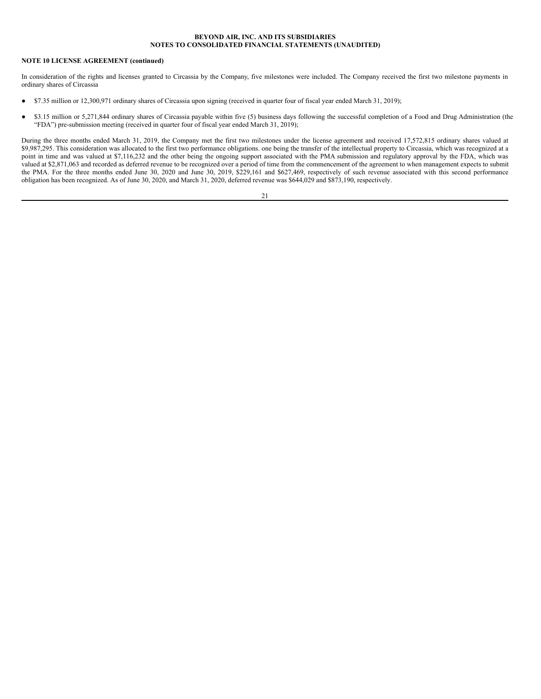## **NOTE 10 LICENSE AGREEMENT (continued)**

In consideration of the rights and licenses granted to Circassia by the Company, five milestones were included. The Company received the first two milestone payments in ordinary shares of Circassia

- \$7.35 million or 12,300,971 ordinary shares of Circassia upon signing (received in quarter four of fiscal year ended March 31, 2019);
- \$3.15 million or 5,271,844 ordinary shares of Circassia payable within five (5) business days following the successful completion of a Food and Drug Administration (the "FDA") pre-submission meeting (received in quarter four of fiscal year ended March 31, 2019);

During the three months ended March 31, 2019, the Company met the first two milestones under the license agreement and received 17,572,815 ordinary shares valued at \$9,987,295. This consideration was allocated to the first two performance obligations. one being the transfer of the intellectual property to Circassia, which was recognized at a point in time and was valued at \$7,116,232 and the other being the ongoing support associated with the PMA submission and regulatory approval by the FDA, which was valued at \$2,871,063 and recorded as deferred revenue to be recognized over a period of time from the commencement of the agreement to when management expects to submit the PMA. For the three months ended June 30, 2020 and June 30, 2019, \$229,161 and \$627,469, respectively of such revenue associated with this second performance obligation has been recognized. As of June 30, 2020, and March 31, 2020, deferred revenue was \$644,029 and \$873,190, respectively.

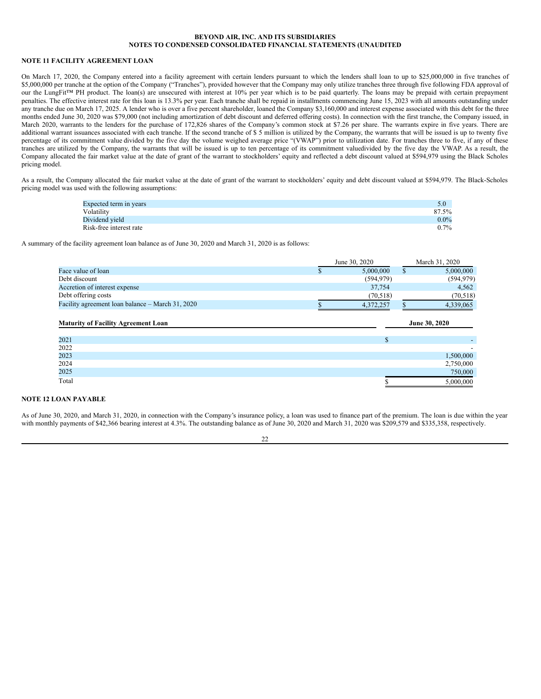## **NOTE 11 FACILITY AGREEMENT LOAN**

On March 17, 2020, the Company entered into a facility agreement with certain lenders pursuant to which the lenders shall loan to up to \$25,000,000 in five tranches of \$5,000,000 per tranche at the option of the Company ("Tranches"), provided however that the Company may only utilize tranches three through five following FDA approval of our the LungFit™ PH product. The loan(s) are unsecured with interest at 10% per year which is to be paid quarterly. The loans may be prepaid with certain prepayment penalties. The effective interest rate for this loan is 13.3% per year. Each tranche shall be repaid in installments commencing June 15, 2023 with all amounts outstanding under any tranche due on March 17, 2025. A lender who is over a five percent shareholder, loaned the Company \$3,160,000 and interest expense associated with this debt for the three months ended June 30, 2020 was \$79,000 (not including amortization of debt discount and deferred offering costs). In connection with the first tranche, the Company issued, in March 2020, warrants to the lenders for the purchase of 172,826 shares of the Company's common stock at \$7.26 per share. The warrants expire in five years. There are additional warrant issuances associated with each tranche. If the second tranche of \$ 5 million is utilized by the Company, the warrants that will be issued is up to twenty five percentage of its commitment value divided by the five day the volume weighed average price "(VWAP") prior to utilization date. For tranches three to five, if any of these tranches are utilized by the Company, the warrants that will be issued is up to ten percentage of its commitment valuedivided by the five day the VWAP. As a result, the Company allocated the fair market value at the date of grant of the warrant to stockholders' equity and reflected a debt discount valued at \$594,979 using the Black Scholes pricing model.

As a result, the Company allocated the fair market value at the date of grant of the warrant to stockholders' equity and debt discount valued at \$594,979. The Black-Scholes pricing model was used with the following assumptions:

| Expected term in years  | 5.0     |
|-------------------------|---------|
| Volatility              | 87.5%   |
| Dividend yield          | $0.0\%$ |
| Risk-free interest rate | $0.7\%$ |

A summary of the facility agreement loan balance as of June 30, 2020 and March 31, 2020 is as follows:

|                                                  | June 30, 2020 | March 31, 2020 |
|--------------------------------------------------|---------------|----------------|
| Face value of loan                               | 5,000,000     | 5,000,000      |
| Debt discount                                    | (594, 979)    | (594, 979)     |
| Accretion of interest expense                    | 37,754        | 4.562          |
| Debt offering costs                              | (70.518)      | (70, 518)      |
| Facility agreement loan balance – March 31, 2020 | 4,372,257     | 4.339,065      |

| <b>Maturity of Facility Agreement Loan</b> | June 30, 2020 |           |
|--------------------------------------------|---------------|-----------|
|                                            |               |           |
| 2021                                       |               |           |
| 2022                                       |               |           |
| 2023                                       |               | 1,500,000 |
| 2024                                       |               | 2,750,000 |
| 2025                                       |               | 750,000   |
| Total                                      |               | 5,000,000 |

## **NOTE 12 LOAN PAYABLE**

As of June 30, 2020, and March 31, 2020, in connection with the Company's insurance policy, a loan was used to finance part of the premium. The loan is due within the year with monthly payments of \$42,366 bearing interest at 4.3%. The outstanding balance as of June 30, 2020 and March 31, 2020 was \$209,579 and \$335,358, respectively.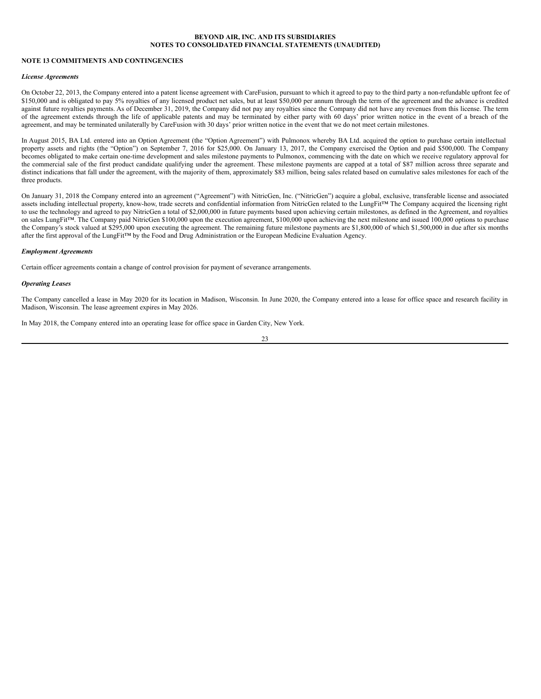## **NOTE 13 COMMITMENTS AND CONTINGENCIES**

## *License Agreements*

On October 22, 2013, the Company entered into a patent license agreement with CareFusion, pursuant to which it agreed to pay to the third party a non-refundable upfront fee of \$150,000 and is obligated to pay 5% royalties of any licensed product net sales, but at least \$50,000 per annum through the term of the agreement and the advance is credited against future royalties payments. As of December 31, 2019, the Company did not pay any royalties since the Company did not have any revenues from this license. The term of the agreement extends through the life of applicable patents and may be terminated by either party with 60 days' prior written notice in the event of a breach of the agreement, and may be terminated unilaterally by CareFusion with 30 days' prior written notice in the event that we do not meet certain milestones.

In August 2015, BA Ltd. entered into an Option Agreement (the "Option Agreement") with Pulmonox whereby BA Ltd. acquired the option to purchase certain intellectual property assets and rights (the "Option") on September 7, 2016 for \$25,000. On January 13, 2017, the Company exercised the Option and paid \$500,000. The Company becomes obligated to make certain one-time development and sales milestone payments to Pulmonox, commencing with the date on which we receive regulatory approval for the commercial sale of the first product candidate qualifying under the agreement. These milestone payments are capped at a total of \$87 million across three separate and distinct indications that fall under the agreement, with the majority of them, approximately \$83 million, being sales related based on cumulative sales milestones for each of the three products.

On January 31, 2018 the Company entered into an agreement ("Agreement") with NitricGen, Inc. ("NitricGen") acquire a global, exclusive, transferable license and associated assets including intellectual property, know-how, trade secrets and confidential information from NitricGen related to the LungFit™ The Company acquired the licensing right to use the technology and agreed to pay NitricGen a total of \$2,000,000 in future payments based upon achieving certain milestones, as defined in the Agreement, and royalties on sales LungFit™. The Company paid NitricGen \$100,000 upon the execution agreement, \$100,000 upon achieving the next milestone and issued 100,000 options to purchase the Company's stock valued at \$295,000 upon executing the agreement. The remaining future milestone payments are \$1,800,000 of which \$1,500,000 in due after six months after the first approval of the LungFit™ by the Food and Drug Administration or the European Medicine Evaluation Agency.

## *Employment Agreements*

Certain officer agreements contain a change of control provision for payment of severance arrangements.

#### *Operating Leases*

The Company cancelled a lease in May 2020 for its location in Madison, Wisconsin. In June 2020, the Company entered into a lease for office space and research facility in Madison, Wisconsin. The lease agreement expires in May 2026.

In May 2018, the Company entered into an operating lease for office space in Garden City, New York.

23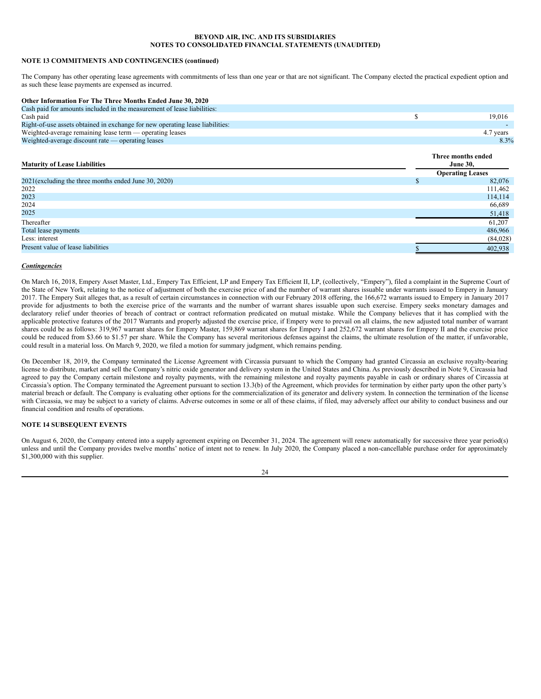## **NOTE 13 COMMITMENTS AND CONTINGENCIES (continued)**

The Company has other operating lease agreements with commitments of less than one year or that are not significant. The Company elected the practical expedient option and as such these lease payments are expensed as incurred.

| Other Information For The Three Months Ended June 30, 2020                    |           |
|-------------------------------------------------------------------------------|-----------|
| Cash paid for amounts included in the measurement of lease liabilities:       |           |
| Cash paid                                                                     | 19.016    |
| Right-of-use assets obtained in exchange for new operating lease liabilities: |           |
| Weighted-average remaining lease term — operating leases                      | 4.7 years |
| Weighted-average discount rate — operating leases                             | 8.3%      |
|                                                                               |           |

**Three months ended**

# **Maturity of Lease Liabilities**

| <b>Maturity of Lease Liabilities</b>                 |  | <b>June 30,</b>         |  |  |
|------------------------------------------------------|--|-------------------------|--|--|
|                                                      |  | <b>Operating Leases</b> |  |  |
| 2021(excluding the three months ended June 30, 2020) |  | 82,076                  |  |  |
| 2022                                                 |  | 111,462                 |  |  |
| 2023                                                 |  | 114,114                 |  |  |
| 2024                                                 |  | 66,689                  |  |  |
| 2025                                                 |  | 51,418                  |  |  |
| Thereafter                                           |  | 61.207                  |  |  |
| Total lease payments                                 |  | 486,966                 |  |  |
| Less: interest                                       |  | (84,028)                |  |  |
| Present value of lease liabilities                   |  | 402,938                 |  |  |

## *Contingencies*

On March 16, 2018, Empery Asset Master, Ltd., Empery Tax Efficient, LP and Empery Tax Efficient II, LP, (collectively, "Empery"), filed a complaint in the Supreme Court of the State of New York, relating to the notice of adjustment of both the exercise price of and the number of warrant shares issuable under warrants issued to Empery in January 2017. The Empery Suit alleges that, as a result of certain circumstances in connection with our February 2018 offering, the 166,672 warrants issued to Empery in January 2017 provide for adjustments to both the exercise price of the warrants and the number of warrant shares issuable upon such exercise. Empery seeks monetary damages and declaratory relief under theories of breach of contract or contract reformation predicated on mutual mistake. While the Company believes that it has complied with the applicable protective features of the 2017 Warrants and properly adjusted the exercise price, if Empery were to prevail on all claims, the new adjusted total number of warrant shares could be as follows: 319,967 warrant shares for Empery Master, 159,869 warrant shares for Empery I and 252,672 warrant shares for Empery II and the exercise price could be reduced from \$3.66 to \$1.57 per share. While the Company has several meritorious defenses against the claims, the ultimate resolution of the matter, if unfavorable, could result in a material loss. On March 9, 2020, we filed a motion for summary judgment, which remains pending.

On December 18, 2019, the Company terminated the License Agreement with Circassia pursuant to which the Company had granted Circassia an exclusive royalty-bearing license to distribute, market and sell the Company's nitric oxide generator and delivery system in the United States and China. As previously described in Note 9, Circassia had agreed to pay the Company certain milestone and royalty payments, with the remaining milestone and royalty payments payable in cash or ordinary shares of Circassia at Circassia's option. The Company terminated the Agreement pursuant to section 13.3(b) of the Agreement, which provides for termination by either party upon the other party's material breach or default. The Company is evaluating other options for the commercialization of its generator and delivery system. In connection the termination of the license with Circassia, we may be subject to a variety of claims. Adverse outcomes in some or all of these claims, if filed, may adversely affect our ability to conduct business and our financial condition and results of operations.

## **NOTE 14 SUBSEQUENT EVENTS**

On August 6, 2020, the Company entered into a supply agreement expiring on December 31, 2024. The agreement will renew automatically for successive three year period(s) unless and until the Company provides twelve months' notice of intent not to renew. In July 2020, the Company placed a non-cancellable purchase order for approximately \$1,300,000 with this supplier.

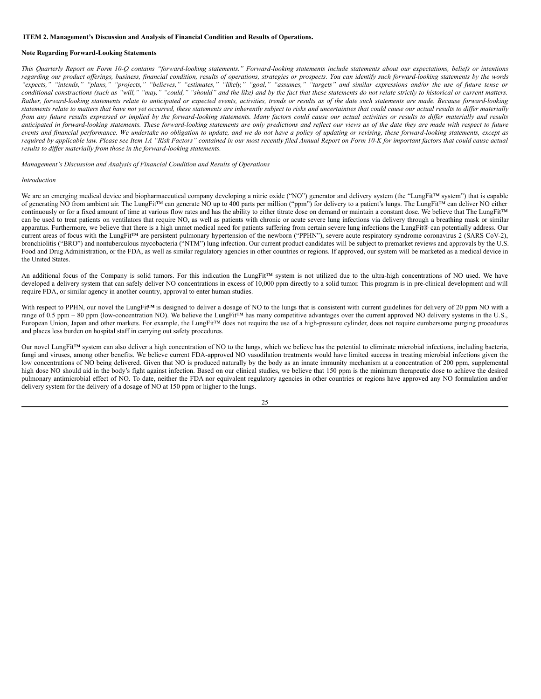## <span id="page-24-0"></span>**ITEM 2. Management's Discussion and Analysis of Financial Condition and Results of Operations.**

## **Note Regarding Forward-Looking Statements**

This Quarterly Report on Form 10-Q contains "forward-looking statements." Forward-looking statements include statements about our expectations, beliefs or intentions regarding our product offerings, business, financial condition, results of operations, strategies or prospects. You can identify such forward-looking statements by the words "expects," "intends," "plans," "projects," "believes," "estimates," "likely," "goal," "assumes," "targets" and similar expressions and/or the use of future tense or conditional constructions (such as "will," "may," "could," "should" and the like) and by the fact that these statements do not relate strictly to historical or current matters. Rather, forward-looking statements relate to anticipated or expected events, activities, trends or results as of the date such statements are made. Because forward-looking statements relate to matters that have not yet occurred, these statements are inherently subject to risks and uncertainties that could cause our actual results to differ materially from any future results expressed or implied by the forward-looking statements. Many factors could cause our actual activities or results to differ materially and results anticipated in forward-looking statements. These forward-looking statements are only predictions and reflect our views as of the date they are made with respect to future events and financial performance. We undertake no obligation to update, and we do not have a policy of updating or revising, these forward-looking statements, except as required by applicable law. Please see Item 1A "Risk Factors" contained in our most recently filed Annual Report on Form 10-K for important factors that could cause actual *results to dif er materially from those in the forward-looking statements.*

*Management's Discussion and Analysis of Financial Condition and Results of Operations*

## *Introduction*

We are an emerging medical device and biopharmaceutical company developing a nitric oxide ("NO") generator and delivery system (the "LungFit™ system") that is capable of generating NO from ambient air. The LungFit™ can generate NO up to 400 parts per million ("ppm") for delivery to a patient's lungs. The LungFit™ can deliver NO either continuously or for a fixed amount of time at various flow rates and has the ability to either titrate dose on demand or maintain a constant dose. We believe that The LungFit™ can be used to treat patients on ventilators that require NO, as well as patients with chronic or acute severe lung infections via delivery through a breathing mask or similar apparatus. Furthermore, we believe that there is a high unmet medical need for patients suffering from certain severe lung infections the LungFit® can potentially address. Our current areas of focus with the LungFit™ are persistent pulmonary hypertension of the newborn ("PPHN"), severe acute respiratory syndrome coronavirus 2 (SARS CoV-2), bronchiolitis ("BRO") and nontuberculous mycobacteria ("NTM") lung infection. Our current product candidates will be subject to premarket reviews and approvals by the U.S. Food and Drug Administration, or the FDA, as well as similar regulatory agencies in other countries or regions. If approved, our system will be marketed as a medical device in the United States.

An additional focus of the Company is solid tumors. For this indication the LungFit™ system is not utilized due to the ultra-high concentrations of NO used. We have developed a delivery system that can safely deliver NO concentrations in excess of 10,000 ppm directly to a solid tumor. This program is in pre-clinical development and will require FDA, or similar agency in another country, approval to enter human studies.

With respect to PPHN, our novel the LungFit<sup>TM</sup> is designed to deliver a dosage of NO to the lungs that is consistent with current guidelines for delivery of 20 ppm NO with a range of 0.5 ppm – 80 ppm (low-concentration NO). We believe the LungFit™ has many competitive advantages over the current approved NO delivery systems in the U.S., European Union, Japan and other markets. For example, the LungFit™ does not require the use of a high-pressure cylinder, does not require cumbersome purging procedures and places less burden on hospital staff in carrying out safety procedures.

Our novel LungFit™ system can also deliver a high concentration of NO to the lungs, which we believe has the potential to eliminate microbial infections, including bacteria, fungi and viruses, among other benefits. We believe current FDA-approved NO vasodilation treatments would have limited success in treating microbial infections given the low concentrations of NO being delivered. Given that NO is produced naturally by the body as an innate immunity mechanism at a concentration of 200 ppm, supplemental high dose NO should aid in the body's fight against infection. Based on our clinical studies, we believe that 150 ppm is the minimum therapeutic dose to achieve the desired pulmonary antimicrobial effect of NO. To date, neither the FDA nor equivalent regulatory agencies in other countries or regions have approved any NO formulation and/or delivery system for the delivery of a dosage of NO at 150 ppm or higher to the lungs.

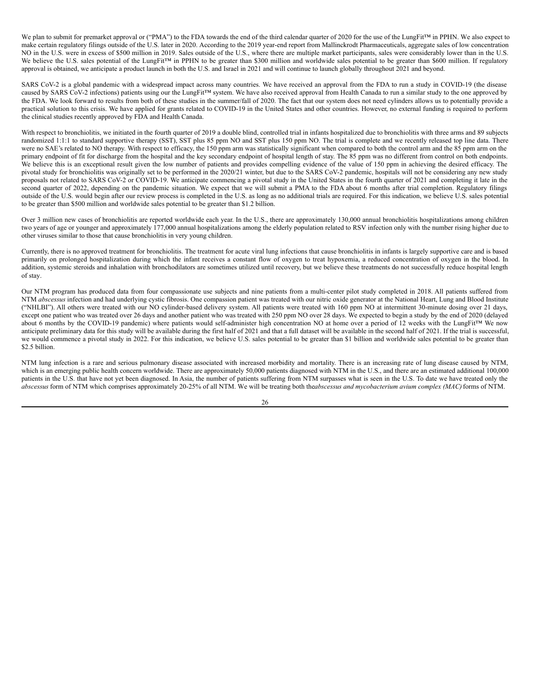We plan to submit for premarket approval or ("PMA") to the FDA towards the end of the third calendar quarter of 2020 for the use of the LungFit™ in PPHN. We also expect to make certain regulatory filings outside of the U.S. later in 2020. According to the 2019 year-end report from Mallinckrodt Pharmaceuticals, aggregate sales of low concentration NO in the U.S. were in excess of \$500 million in 2019. Sales outside of the U.S., where there are multiple market participants, sales were considerably lower than in the U.S. We believe the U.S. sales potential of the LungFit<sup>™</sup> in PPHN to be greater than \$300 million and worldwide sales potential to be greater than \$600 million. If regulatory approval is obtained, we anticipate a product launch in both the U.S. and Israel in 2021 and will continue to launch globally throughout 2021 and beyond.

SARS CoV-2 is a global pandemic with a widespread impact across many countries. We have received an approval from the FDA to run a study in COVID-19 (the disease caused by SARS CoV-2 infections) patients using our the LungFit™ system. We have also received approval from Health Canada to run a similar study to the one approved by the FDA. We look forward to results from both of these studies in the summer/fall of 2020. The fact that our system does not need cylinders allows us to potentially provide a practical solution to this crisis. We have applied for grants related to COVID-19 in the United States and other countries. However, no external funding is required to perform the clinical studies recently approved by FDA and Health Canada.

With respect to bronchiolitis, we initiated in the fourth quarter of 2019 a double blind, controlled trial in infants hospitalized due to bronchiolitis with three arms and 89 subjects randomized 1:1:1 to standard supportive therapy (SST), SST plus 85 ppm NO and SST plus 150 ppm NO. The trial is complete and we recently released top line data. There were no SAE's related to NO therapy. With respect to efficacy, the 150 ppm arm was statistically significant when compared to both the control arm and the 85 ppm arm on the primary endpoint of fit for discharge from the hospital and the key secondary endpoint of hospital length of stay. The 85 ppm was no different from control on both endpoints. We believe this is an exceptional result given the low number of patients and provides compelling evidence of the value of 150 ppm in achieving the desired efficacy. The pivotal study for bronchiolitis was originally set to be performed in the 2020/21 winter, but due to the SARS CoV-2 pandemic, hospitals will not be considering any new study proposals not related to SARS CoV-2 or COVID-19. We anticipate commencing a pivotal study in the United States in the fourth quarter of 2021 and completing it late in the second quarter of 2022, depending on the pandemic situation. We expect that we will submit a PMA to the FDA about 6 months after trial completion. Regulatory filings outside of the U.S. would begin after our review process is completed in the U.S. as long as no additional trials are required. For this indication, we believe U.S. sales potential to be greater than \$500 million and worldwide sales potential to be greater than \$1.2 billion.

Over 3 million new cases of bronchiolitis are reported worldwide each year. In the U.S., there are approximately 130,000 annual bronchiolitis hospitalizations among children two years of age or younger and approximately 177,000 annual hospitalizations among the elderly population related to RSV infection only with the number rising higher due to other viruses similar to those that cause bronchiolitis in very young children.

Currently, there is no approved treatment for bronchiolitis. The treatment for acute viral lung infections that cause bronchiolitis in infants is largely supportive care and is based primarily on prolonged hospitalization during which the infant receives a constant flow of oxygen to treat hypoxemia, a reduced concentration of oxygen in the blood. In addition, systemic steroids and inhalation with bronchodilators are sometimes utilized until recovery, but we believe these treatments do not successfully reduce hospital length of stay.

Our NTM program has produced data from four compassionate use subjects and nine patients from a multi-center pilot study completed in 2018. All patients suffered from NTM *abscessus* infection and had underlying cystic fibrosis. One compassion patient was treated with our nitric oxide generator at the National Heart, Lung and Blood Institute ("NHLBI"). All others were treated with our NO cylinder-based delivery system. All patients were treated with 160 ppm NO at intermittent 30-minute dosing over 21 days, except one patient who was treated over 26 days and another patient who was treated with 250 ppm NO over 28 days. We expected to begin a study by the end of 2020 (delayed about 6 months by the COVID-19 pandemic) where patients would self-administer high concentration NO at home over a period of 12 weeks with the LungFit™ We now anticipate preliminary data for this study will be available during the first half of 2021 and that a full dataset will be available in the second half of 2021. If the trial is successful, we would commence a pivotal study in 2022. For this indication, we believe U.S. sales potential to be greater than \$1 billion and worldwide sales potential to be greater than \$2.5 billion.

NTM lung infection is a rare and serious pulmonary disease associated with increased morbidity and mortality. There is an increasing rate of lung disease caused by NTM, which is an emerging public health concern worldwide. There are approximately 50,000 patients diagnosed with NTM in the U.S., and there are an estimated additional 100,000 patients in the U.S. that have not yet been diagnosed. In Asia, the number of patients suffering from NTM surpasses what is seen in the U.S. To date we have treated only the *abscessus* form of NTM which comprises approximately 20-25% of all NTM. We will be treating both the*abscessus and mycobacterium avium complex (MAC)*forms of NTM.

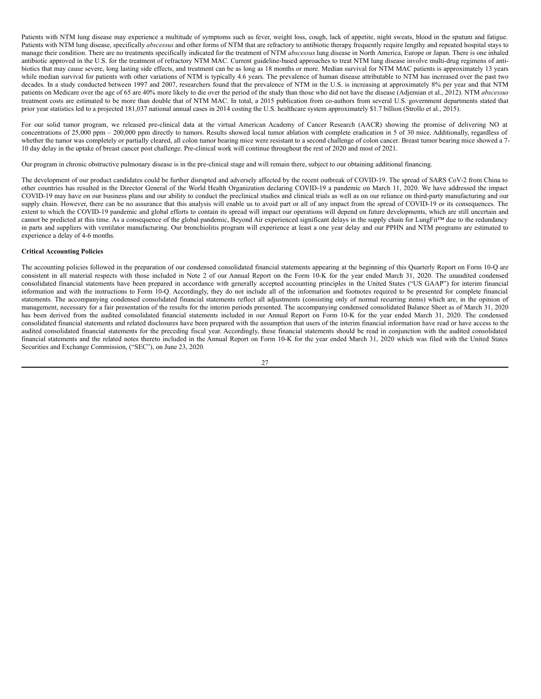Patients with NTM lung disease may experience a multitude of symptoms such as fever, weight loss, cough, lack of appetite, night sweats, blood in the sputum and fatigue. Patients with NTM lung disease, specifically *abscessus* and other forms of NTM that are refractory to antibiotic therapy frequently require lengthy and repeated hospital stays to manage their condition. There are no treatments specifically indicated for the treatment of NTM *abscessus* lung disease in North America, Europe or Japan. There is one inhaled antibiotic approved in the U.S. for the treatment of refractory NTM MAC. Current guideline-based approaches to treat NTM lung disease involve multi-drug regimens of antibiotics that may cause severe, long lasting side effects, and treatment can be as long as 18 months or more. Median survival for NTM MAC patients is approximately 13 years while median survival for patients with other variations of NTM is typically 4.6 years. The prevalence of human disease attributable to NTM has increased over the past two decades. In a study conducted between 1997 and 2007, researchers found that the prevalence of NTM in the U.S. is increasing at approximately 8% per year and that NTM patients on Medicare over the age of 65 are 40% more likely to die over the period of the study than those who did not have the disease (Adjemian et al., 2012). NTM *abscessus* treatment costs are estimated to be more than double that of NTM MAC. In total, a 2015 publication from co-authors from several U.S. government departments stated that prior year statistics led to a projected 181,037 national annual cases in 2014 costing the U.S. healthcare system approximately \$1.7 billion (Strollo et al., 2015).

For our solid tumor program, we released pre-clinical data at the virtual American Academy of Cancer Research (AACR) showing the promise of delivering NO at concentrations of 25,000 ppm – 200,000 ppm directly to tumors. Results showed local tumor ablation with complete eradication in 5 of 30 mice. Additionally, regardless of whether the tumor was completely or partially cleared, all colon tumor bearing mice were resistant to a second challenge of colon cancer. Breast tumor bearing mice showed a 7-10 day delay in the uptake of breast cancer post challenge. Pre-clinical work will continue throughout the rest of 2020 and most of 2021.

Our program in chronic obstructive pulmonary disease is in the pre-clinical stage and will remain there, subject to our obtaining additional financing.

The development of our product candidates could be further disrupted and adversely affected by the recent outbreak of COVID-19. The spread of SARS CoV-2 from China to other countries has resulted in the Director General of the World Health Organization declaring COVID-19 a pandemic on March 11, 2020. We have addressed the impact COVID-19 may have on our business plans and our ability to conduct the preclinical studies and clinical trials as well as on our reliance on third-party manufacturing and our supply chain. However, there can be no assurance that this analysis will enable us to avoid part or all of any impact from the spread of COVID-19 or its consequences. The extent to which the COVID-19 pandemic and global efforts to contain its spread will impact our operations will depend on future developments, which are still uncertain and cannot be predicted at this time. As a consequence of the global pandemic, Beyond Air experienced significant delays in the supply chain for LungFit™ due to the redundancy in parts and suppliers with ventilator manufacturing. Our bronchiolitis program will experience at least a one year delay and our PPHN and NTM programs are estimated to experience a delay of 4-6 months.

## **Critical Accounting Policies**

The accounting policies followed in the preparation of our condensed consolidated financial statements appearing at the beginning of this Quarterly Report on Form 10-Q are consistent in all material respects with those included in Note 2 of our Annual Report on the Form 10-K for the year ended March 31, 2020. The unaudited condensed consolidated financial statements have been prepared in accordance with generally accepted accounting principles in the United States ("US GAAP") for interim financial information and with the instructions to Form 10-Q. Accordingly, they do not include all of the information and footnotes required to be presented for complete financial statements. The accompanying condensed consolidated financial statements reflect all adjustments (consisting only of normal recurring items) which are, in the opinion of management, necessary for a fair presentation of the results for the interim periods presented. The accompanying condensed consolidated Balance Sheet as of March 31, 2020 has been derived from the audited consolidated financial statements included in our Annual Report on Form 10-K for the year ended March 31, 2020. The condensed consolidated financial statements and related disclosures have been prepared with the assumption that users of the interim financial information have read or have access to the audited consolidated financial statements for the preceding fiscal year. Accordingly, these financial statements should be read in conjunction with the audited consolidated financial statements and the related notes thereto included in the Annual Report on Form 10-K for the year ended March 31, 2020 which was filed with the United States Securities and Exchange Commission, ("SEC"), on June 23, 2020.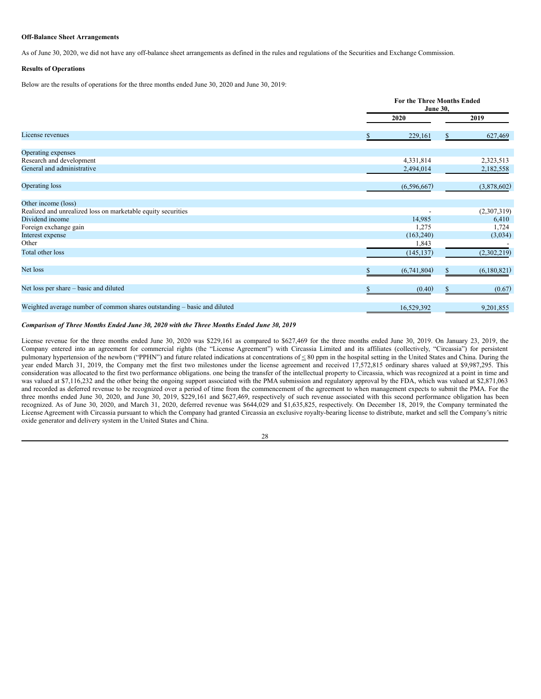## **Off-Balance Sheet Arrangements**

As of June 30, 2020, we did not have any off-balance sheet arrangements as defined in the rules and regulations of the Securities and Exchange Commission.

#### **Results of Operations**

Below are the results of operations for the three months ended June 30, 2020 and June 30, 2019:

|                                                                          |             | <b>For the Three Months Ended</b><br><b>June 30,</b> |  |  |
|--------------------------------------------------------------------------|-------------|------------------------------------------------------|--|--|
|                                                                          | 2020        | 2019                                                 |  |  |
| License revenues                                                         | 229,161     | 627,469                                              |  |  |
| Operating expenses                                                       |             |                                                      |  |  |
| Research and development                                                 | 4,331,814   | 2,323,513                                            |  |  |
| General and administrative                                               | 2,494,014   | 2,182,558                                            |  |  |
| Operating loss                                                           | (6,596,667) | (3,878,602)                                          |  |  |
| Other income (loss)                                                      |             |                                                      |  |  |
| Realized and unrealized loss on marketable equity securities             |             | (2,307,319)                                          |  |  |
| Dividend income                                                          | 14,985      | 6,410                                                |  |  |
| Foreign exchange gain                                                    | 1,275       | 1,724                                                |  |  |
| Interest expense                                                         | (163, 240)  | (3,034)                                              |  |  |
| Other                                                                    | 1,843       |                                                      |  |  |
| Total other loss                                                         | (145, 137)  | (2,302,219)                                          |  |  |
| Net loss                                                                 | (6,741,804) | (6,180,821)                                          |  |  |
| Net loss per share – basic and diluted                                   | (0.40)      | (0.67)                                               |  |  |
| Weighted average number of common shares outstanding – basic and diluted | 16,529,392  | 9,201,855                                            |  |  |

## *Comparison of Three Months Ended June 30, 2020 with the Three Months Ended June 30, 2019*

License revenue for the three months ended June 30, 2020 was \$229,161 as compared to \$627,469 for the three months ended June 30, 2019. On January 23, 2019, the Company entered into an agreement for commercial rights (the "License Agreement") with Circassia Limited and its affiliates (collectively, "Circassia") for persistent pulmonary hypertension of the newborn ("PPHN") and future related indications at concentrations of  $\leq 80$  ppm in the hospital setting in the United States and China. During the year ended March 31, 2019, the Company met the first two milestones under the license agreement and received 17,572,815 ordinary shares valued at \$9,987,295. This consideration was allocated to the first two performance obligations. one being the transfer of the intellectual property to Circassia, which was recognized at a point in time and was valued at \$7,116,232 and the other being the ongoing support associated with the PMA submission and regulatory approval by the FDA, which was valued at \$2,871,063 and recorded as deferred revenue to be recognized over a period of time from the commencement of the agreement to when management expects to submit the PMA. For the three months ended June 30, 2020, and June 30, 2019, \$229,161 and \$627,469, respectively of such revenue associated with this second performance obligation has been recognized. As of June 30, 2020, and March 31, 2020, deferred revenue was \$644,029 and \$1,635,825, respectively. On December 18, 2019, the Company terminated the License Agreement with Circassia pursuant to which the Company had granted Circassia an exclusive royalty-bearing license to distribute, market and sell the Company's nitric oxide generator and delivery system in the United States and China.

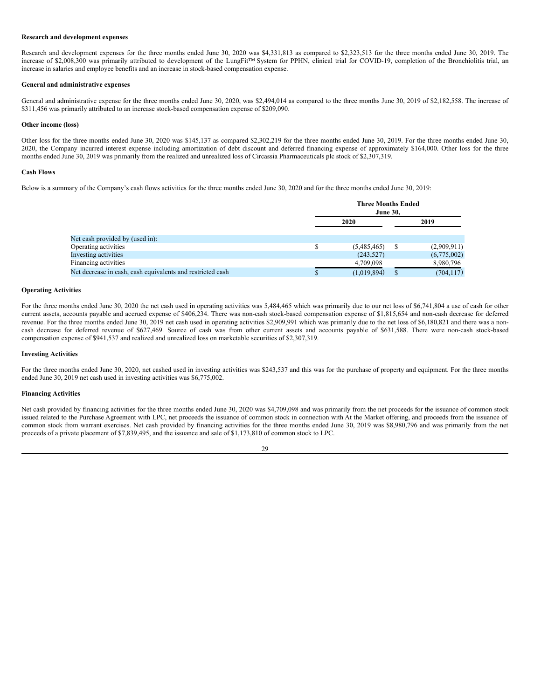## **Research and development expenses**

Research and development expenses for the three months ended June 30, 2020 was \$4,331,813 as compared to \$2,323,513 for the three months ended June 30, 2019. The increase of \$2,008,300 was primarily attributed to development of the LungFit™ System for PPHN, clinical trial for COVID-19, completion of the Bronchiolitis trial, an increase in salaries and employee benefits and an increase in stock-based compensation expense.

#### **General and administrative expenses**

General and administrative expense for the three months ended June 30, 2020, was \$2,494,014 as compared to the three months June 30, 2019 of \$2,182,558. The increase of \$311,456 was primarily attributed to an increase stock-based compensation expense of \$209,090.

#### **Other income (loss)**

Other loss for the three months ended June 30, 2020 was \$145,137 as compared \$2,302,219 for the three months ended June 30, 2019. For the three months ended June 30, 2020, the Company incurred interest expense including amortization of debt discount and deferred financing expense of approximately \$164,000. Other loss for the three months ended June 30, 2019 was primarily from the realized and unrealized loss of Circassia Pharmaceuticals plc stock of \$2,307,319.

#### **Cash Flows**

Below is a summary of the Company's cash flows activities for the three months ended June 30, 2020 and for the three months ended June 30, 2019:

|                                                            | <b>Three Months Ended</b><br><b>June 30.</b> |    |             |
|------------------------------------------------------------|----------------------------------------------|----|-------------|
|                                                            | 2020                                         |    | 2019        |
| Net cash provided by (used in):                            |                                              |    |             |
| Operating activities                                       | (5,485,465)                                  | -S | (2,909,911) |
| Investing activities                                       | (243, 527)                                   |    | (6,775,002) |
| Financing activities                                       | 4,709,098                                    |    | 8,980,796   |
| Net decrease in cash, cash equivalents and restricted cash | (1,019,894)                                  |    | (704, 117)  |

## **Operating Activities**

For the three months ended June 30, 2020 the net cash used in operating activities was 5,484,465 which was primarily due to our net loss of \$6,741,804 a use of cash for other current assets, accounts payable and accrued expense of \$406,234. There was non-cash stock-based compensation expense of \$1,815,654 and non-cash decrease for deferred revenue. For the three months ended June 30, 2019 net cash used in operating activities \$2,909,991 which was primarily due to the net loss of \$6,180,821 and there was a noncash decrease for deferred revenue of \$627,469. Source of cash was from other current assets and accounts payable of \$631,588. There were non-cash stock-based compensation expense of \$941,537 and realized and unrealized loss on marketable securities of \$2,307,319.

## **Investing Activities**

For the three months ended June 30, 2020, net cashed used in investing activities was \$243,537 and this was for the purchase of property and equipment. For the three months ended June 30, 2019 net cash used in investing activities was \$6,775,002.

### **Financing Activities**

Net cash provided by financing activities for the three months ended June 30, 2020 was \$4,709,098 and was primarily from the net proceeds for the issuance of common stock issued related to the Purchase Agreement with LPC, net proceeds the issuance of common stock in connection with At the Market offering, and proceeds from the issuance of common stock from warrant exercises. Net cash provided by financing activities for the three months ended June 30, 2019 was \$8,980,796 and was primarily from the net proceeds of a private placement of \$7,839,495, and the issuance and sale of \$1,173,810 of common stock to LPC.

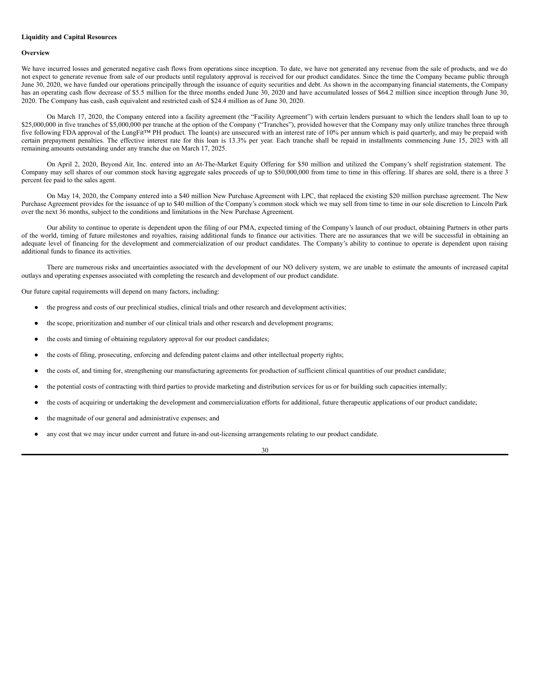## **Liquidity and Capital Resources**

#### **Overview**

We have incurred losses and generated negative cash flows from operations since inception. To date, we have not generated any revenue from the sale of products, and we do not expect to generate revenue from sale of our products until regulatory approval is received for our product candidates. Since the time the Company became public through June 30, 2020, we have funded our operations principally through the issuance of equity securities and debt. As shown in the accompanying financial statements, the Company has an operating cash flow decrease of \$5.5 million for the three months ended June 30, 2020 and have accumulated losses of \$64.2 million since inception through June 30, 2020. The Company has cash, cash equivalent and restricted cash of \$24.4 million as of June 30, 2020.

On March 17, 2020, the Company entered into a facility agreement (the "Facility Agreement") with certain lenders pursuant to which the lenders shall loan to up to \$25,000,000 in five tranches of \$5,000,000 per tranche at the option of the Company ("Tranches"), provided however that the Company may only utilize tranches three through five following FDA approval of the LungFit™ PH product. The loan(s) are unsecured with an interest rate of 10% per annum which is paid quarterly, and may be prepaid with certain prepayment penalties. The effective interest rate for this loan is 13.3% per year. Each tranche shall be repaid in installments commencing June 15, 2023 with all remaining amounts outstanding under any tranche due on March 17, 2025.

On April 2, 2020, Beyond Air, Inc. entered into an At-The-Market Equity Offering for \$50 million and utilized the Company's shelf registration statement. The Company may sell shares of our common stock having aggregate sales proceeds of up to \$50,000,000 from time to time in this offering. If shares are sold, there is a three 3 percent fee paid to the sales agent.

On May 14, 2020, the Company entered into a \$40 million New Purchase Agreement with LPC, that replaced the existing \$20 million purchase agreement. The New Purchase Agreement provides for the issuance of up to \$40 million of the Company's common stock which we may sell from time to time in our sole discretion to Lincoln Park over the next 36 months, subject to the conditions and limitations in the New Purchase Agreement.

Our ability to continue to operate is dependent upon the filing of our PMA, expected timing of the Company's launch of our product, obtaining Partners in other parts of the world, timing of future milestones and royalties, raising additional funds to finance our activities. There are no assurances that we will be successful in obtaining an adequate level of financing for the development and commercialization of our product candidates. The Company's ability to continue to operate is dependent upon raising additional funds to finance its activities.

There are numerous risks and uncertainties associated with the development of our NO delivery system, we are unable to estimate the amounts of increased capital outlays and operating expenses associated with completing the research and development of our product candidate.

Our future capital requirements will depend on many factors, including:

- the progress and costs of our preclinical studies, clinical trials and other research and development activities;
- the scope, prioritization and number of our clinical trials and other research and development programs;
- the costs and timing of obtaining regulatory approval for our product candidates;
- the costs of filing, prosecuting, enforcing and defending patent claims and other intellectual property rights;
- the costs of, and timing for, strengthening our manufacturing agreements for production of sufficient clinical quantities of our product candidate;
- the potential costs of contracting with third parties to provide marketing and distribution services for us or for building such capacities internally;
- the costs of acquiring or undertaking the development and commercialization efforts for additional, future therapeutic applications of our product candidate;
- the magnitude of our general and administrative expenses; and
- any cost that we may incur under current and future in-and out-licensing arrangements relating to our product candidate.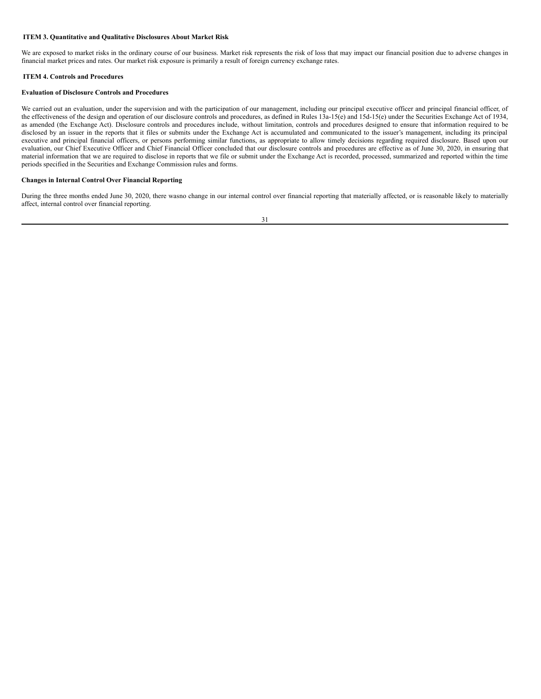## <span id="page-30-0"></span>**ITEM 3. Quantitative and Qualitative Disclosures About Market Risk**

We are exposed to market risks in the ordinary course of our business. Market risk represents the risk of loss that may impact our financial position due to adverse changes in financial market prices and rates. Our market risk exposure is primarily a result of foreign currency exchange rates.

## <span id="page-30-1"></span>**ITEM 4. Controls and Procedures**

## **Evaluation of Disclosure Controls and Procedures**

We carried out an evaluation, under the supervision and with the participation of our management, including our principal executive officer and principal financial officer, of the effectiveness of the design and operation of our disclosure controls and procedures, as defined in Rules 13a-15(e) and 15d-15(e) under the Securities Exchange Act of 1934, as amended (the Exchange Act). Disclosure controls and procedures include, without limitation, controls and procedures designed to ensure that information required to be disclosed by an issuer in the reports that it files or submits under the Exchange Act is accumulated and communicated to the issuer's management, including its principal executive and principal financial officers, or persons performing similar functions, as appropriate to allow timely decisions regarding required disclosure. Based upon our evaluation, our Chief Executive Officer and Chief Financial Officer concluded that our disclosure controls and procedures are effective as of June 30, 2020, in ensuring that material information that we are required to disclose in reports that we file or submit under the Exchange Act is recorded, processed, summarized and reported within the time periods specified in the Securities and Exchange Commission rules and forms.

## **Changes in Internal Control Over Financial Reporting**

During the three months ended June 30, 2020, there wasno change in our internal control over financial reporting that materially affected, or is reasonable likely to materially affect, internal control over financial reporting.

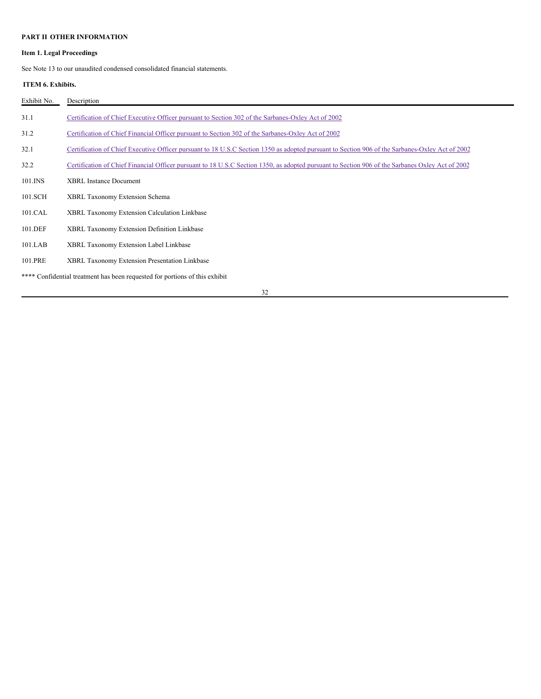## <span id="page-31-0"></span>**PART II OTHER INFORMATION**

## **Item 1. Legal Proceedings**

See Note 13 to our unaudited condensed consolidated financial statements.

## <span id="page-31-1"></span>**ITEM 6. Exhibits.**

| Exhibit No. | Description                                                                                                                                      |
|-------------|--------------------------------------------------------------------------------------------------------------------------------------------------|
| 31.1        | Certification of Chief Executive Officer pursuant to Section 302 of the Sarbanes-Oxley Act of 2002                                               |
| 31.2        | Certification of Chief Financial Officer pursuant to Section 302 of the Sarbanes-Oxley Act of 2002                                               |
| 32.1        | Certification of Chief Executive Officer pursuant to 18 U.S.C Section 1350 as adopted pursuant to Section 906 of the Sarbanes-Oxley Act of 2002  |
| 32.2        | Certification of Chief Financial Officer pursuant to 18 U.S.C Section 1350, as adopted pursuant to Section 906 of the Sarbanes Oxley Act of 2002 |
| 101.INS     | <b>XBRL Instance Document</b>                                                                                                                    |
| 101.SCH     | XBRL Taxonomy Extension Schema                                                                                                                   |
| 101.CAL     | XBRL Taxonomy Extension Calculation Linkbase                                                                                                     |
| 101.DEF     | XBRL Taxonomy Extension Definition Linkbase                                                                                                      |
| $101$ .LAB  | XBRL Taxonomy Extension Label Linkbase                                                                                                           |
| 101.PRE     | XBRL Taxonomy Extension Presentation Linkbase                                                                                                    |
|             | **** Confidential treatment has been requested for portions of this exhibit                                                                      |
|             | 32                                                                                                                                               |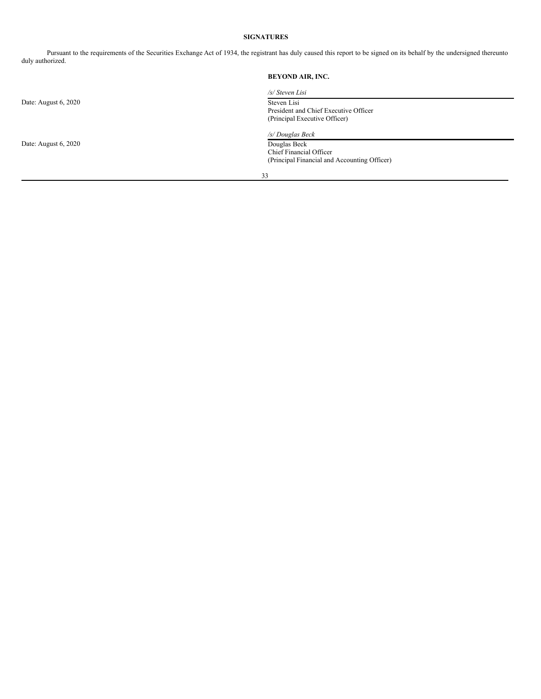## <span id="page-32-0"></span>**SIGNATURES**

Pursuant to the requirements of the Securities Exchange Act of 1934, the registrant has duly caused this report to be signed on its behalf by the undersigned thereunto duly authorized.

# **BEYOND AIR, INC.** */s/ Steven Lisi* Date: August 6, 2020 Steven Lisi President and Chief Executive Officer (Principal Executive Officer) */s/ Douglas Beck* Date: August 6, 2020 Chief Financial Officer (Principal Financial and Accounting Officer) 33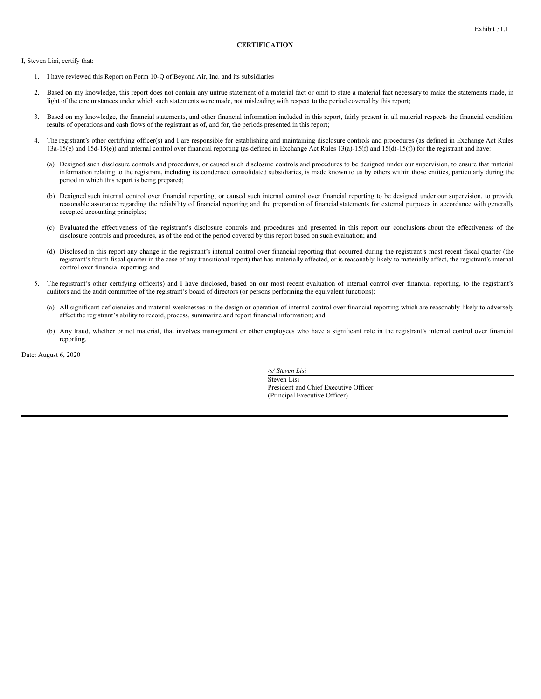<span id="page-33-0"></span>I, Steven Lisi, certify that:

- 1. I have reviewed this Report on Form 10-Q of Beyond Air, Inc. and its subsidiaries
- 2. Based on my knowledge, this report does not contain any untrue statement of a material fact or omit to state a material fact necessary to make the statements made, in light of the circumstances under which such statements were made, not misleading with respect to the period covered by this report;
- 3. Based on my knowledge, the financial statements, and other financial information included in this report, fairly present in all material respects the financial condition, results of operations and cash flows of the registrant as of, and for, the periods presented in this report;
- 4. The registrant's other certifying officer(s) and I are responsible for establishing and maintaining disclosure controls and procedures (as defined in Exchange Act Rules 13a-15(e) and 15d-15(e)) and internal control over financial reporting (as defined in Exchange Act Rules 13(a)-15(f) and 15(d)-15(f)) for the registrant and have:
	- (a) Designed such disclosure controls and procedures, or caused such disclosure controls and procedures to be designed under our supervision, to ensure that material information relating to the registrant, including its condensed consolidated subsidiaries, is made known to us by others within those entities, particularly during the period in which this report is being prepared;
	- (b) Designed such internal control over financial reporting, or caused such internal control over financial reporting to be designed under our supervision, to provide reasonable assurance regarding the reliability of financial reporting and the preparation of financial statements for external purposes in accordance with generally accepted accounting principles;
	- (c) Evaluated the effectiveness of the registrant's disclosure controls and procedures and presented in this report our conclusions about the effectiveness of the disclosure controls and procedures, as of the end of the period covered by this report based on such evaluation; and
	- (d) Disclosed in this report any change in the registrant's internal control over financial reporting that occurred during the registrant's most recent fiscal quarter (the registrant's fourth fiscal quarter in the case of any transitional report) that has materially affected, or is reasonably likely to materially affect, the registrant's internal control over financial reporting; and
- 5. The registrant's other certifying officer(s) and I have disclosed, based on our most recent evaluation of internal control over financial reporting, to the registrant's auditors and the audit committee of the registrant's board of directors (or persons performing the equivalent functions):
	- (a) All significant deficiencies and material weaknesses in the design or operation of internal control over financial reporting which are reasonably likely to adversely affect the registrant's ability to record, process, summarize and report financial information; and
	- (b) Any fraud, whether or not material, that involves management or other employees who have a significant role in the registrant's internal control over financial reporting.

Date: August 6, 2020

*/s/ Steven Lisi* Steven Lisi President and Chief Executive Officer (Principal Executive Officer)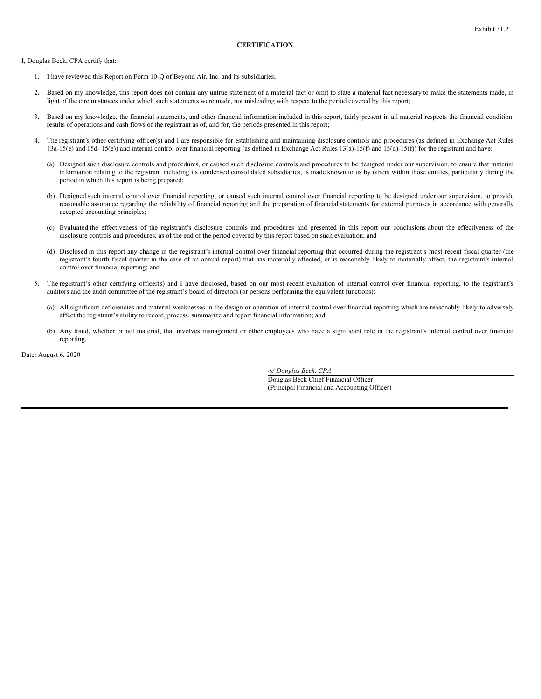<span id="page-34-0"></span>I, Douglas Beck, CPA certify that:

- 1. I have reviewed this Report on Form 10-Q of Beyond Air, Inc. and its subsidiaries;
- 2. Based on my knowledge, this report does not contain any untrue statement of a material fact or omit to state a material fact necessary to make the statements made, in light of the circumstances under which such statements were made, not misleading with respect to the period covered by this report;
- 3. Based on my knowledge, the financial statements, and other financial information included in this report, fairly present in all material respects the financial condition, results of operations and cash flows of the registrant as of, and for, the periods presented in this report;
- 4. The registrant's other certifying officer(s) and I are responsible for establishing and maintaining disclosure controls and procedures (as defined in Exchange Act Rules 13a-15(e) and 15d- 15(e)) and internal control over financial reporting (as defined in Exchange Act Rules 13(a)-15(f) and 15(d)-15(f)) for the registrant and have:
	- (a) Designed such disclosure controls and procedures, or caused such disclosure controls and procedures to be designed under our supervision, to ensure that material information relating to the registrant including its condensed consolidated subsidiaries, is made known to us by others within those entities, particularly during the period in which this report is being prepared;
	- (b) Designed such internal control over financial reporting, or caused such internal control over financial reporting to be designed under our supervision, to provide reasonable assurance regarding the reliability of financial reporting and the preparation of financial statements for external purposes in accordance with generally accepted accounting principles;
	- (c) Evaluated the effectiveness of the registrant's disclosure controls and procedures and presented in this report our conclusions about the effectiveness of the disclosure controls and procedures, as of the end of the period covered by this report based on such evaluation; and
	- (d) Disclosed in this report any change in the registrant's internal control over financial reporting that occurred during the registrant's most recent fiscal quarter (the registrant's fourth fiscal quarter in the case of an annual report) that has materially affected, or is reasonably likely to materially affect, the registrant's internal control over financial reporting; and
- 5. The registrant's other certifying officer(s) and I have disclosed, based on our most recent evaluation of internal control over financial reporting, to the registrant's auditors and the audit committee of the registrant's board of directors (or persons performing the equivalent functions):
	- (a) All significant deficiencies and material weaknesses in the design or operation of internal control over financial reporting which are reasonably likely to adversely affect the registrant's ability to record, process, summarize and report financial information; and
	- (b) Any fraud, whether or not material, that involves management or other employees who have a significant role in the registrant's internal control over financial reporting.

Date: August 6, 2020

*/s/ Douglas Beck, CPA* Douglas Beck Chief Financial Officer (Principal Financial and Accounting Officer)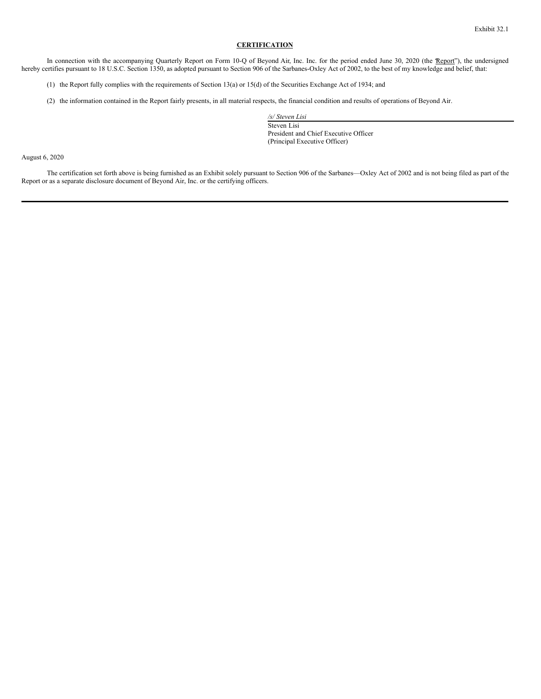<span id="page-35-0"></span>In connection with the accompanying Quarterly Report on Form 10-Q of Beyond Air, Inc. Inc. for the period ended June 30, 2020 (the "Report"), the undersigned hereby certifies pursuant to 18 U.S.C. Section 1350, as adopted pursuant to Section 906 of the Sarbanes-Oxley Act of 2002, to the best of my knowledge and belief, that:

- (1) the Report fully complies with the requirements of Section 13(a) or 15(d) of the Securities Exchange Act of 1934; and
- (2) the information contained in the Report fairly presents, in all material respects, the financial condition and results of operations of Beyond Air.

*/s/ Steven Lisi* Steven Lisi President and Chief Executive Officer (Principal Executive Officer)

August 6, 2020

The certification set forth above is being furnished as an Exhibit solely pursuant to Section 906 of the Sarbanes—Oxley Act of 2002 and is not being filed as part of the Report or as a separate disclosure document of Beyond Air, Inc. or the certifying officers.